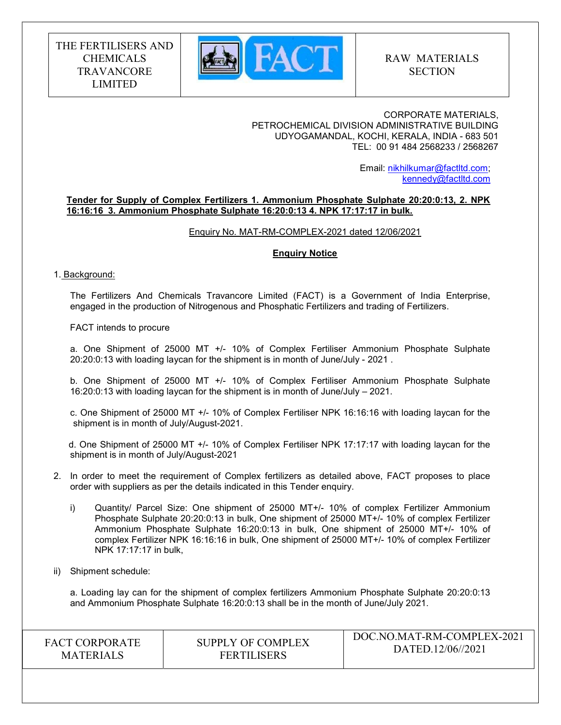

#### CORPORATE MATERIALS, PETROCHEMICAL DIVISION ADMINISTRATIVE BUILDING UDYOGAMANDAL, KOCHI, KERALA, INDIA - 683 501 TEL: 00 91 484 2568233 / 2568267

 Email: nikhilkumar@factltd.com; kennedy@factltd.com

#### Tender for Supply of Complex Fertilizers 1. Ammonium Phosphate Sulphate 20:20:0:13, 2. NPK 16:16:16 3. Ammonium Phosphate Sulphate 16:20:0:13 4. NPK 17:17:17 in bulk.

Enquiry No. MAT-RM-COMPLEX-2021 dated 12/06/2021

#### Enquiry Notice

#### 1. Background:

The Fertilizers And Chemicals Travancore Limited (FACT) is a Government of India Enterprise, engaged in the production of Nitrogenous and Phosphatic Fertilizers and trading of Fertilizers.

FACT intends to procure

a. One Shipment of 25000 MT +/- 10% of Complex Fertiliser Ammonium Phosphate Sulphate 20:20:0:13 with loading laycan for the shipment is in month of June/July - 2021 .

b. One Shipment of 25000 MT +/- 10% of Complex Fertiliser Ammonium Phosphate Sulphate 16:20:0:13 with loading laycan for the shipment is in month of June/July – 2021.

c. One Shipment of 25000 MT +/- 10% of Complex Fertiliser NPK 16:16:16 with loading laycan for the shipment is in month of July/August-2021.

 d. One Shipment of 25000 MT +/- 10% of Complex Fertiliser NPK 17:17:17 with loading laycan for the shipment is in month of July/August-2021

- 2. In order to meet the requirement of Complex fertilizers as detailed above, FACT proposes to place order with suppliers as per the details indicated in this Tender enquiry.
	- i) Quantity/ Parcel Size: One shipment of 25000 MT+/- 10% of complex Fertilizer Ammonium Phosphate Sulphate 20:20:0:13 in bulk, One shipment of 25000 MT+/- 10% of complex Fertilizer Ammonium Phosphate Sulphate 16:20:0:13 in bulk, One shipment of 25000 MT+/- 10% of complex Fertilizer NPK 16:16:16 in bulk, One shipment of 25000 MT+/- 10% of complex Fertilizer NPK 17:17:17 in bulk,

#### ii) Shipment schedule:

 a. Loading lay can for the shipment of complex fertilizers Ammonium Phosphate Sulphate 20:20:0:13 and Ammonium Phosphate Sulphate 16:20:0:13 shall be in the month of June/July 2021.

| <b>FACT CORPORATE</b> | SUPPLY OF COMPLEX  | DOC.NO.MAT-RM-COMPLEX-2021 |
|-----------------------|--------------------|----------------------------|
| <b>MATERIALS</b>      | <b>FERTILISERS</b> | DATED.12/06//2021          |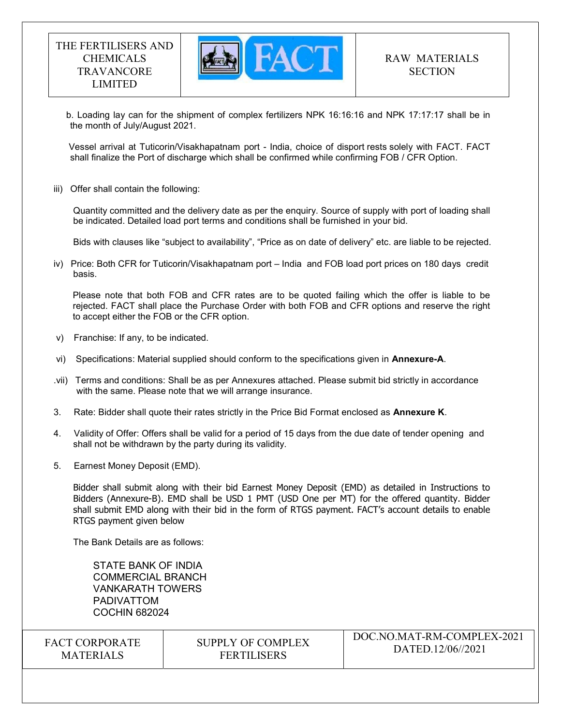

 b. Loading lay can for the shipment of complex fertilizers NPK 16:16:16 and NPK 17:17:17 shall be in the month of July/August 2021.

 Vessel arrival at Tuticorin/Visakhapatnam port - India, choice of disport rests solely with FACT. FACT shall finalize the Port of discharge which shall be confirmed while confirming FOB / CFR Option.

iii) Offer shall contain the following:

Quantity committed and the delivery date as per the enquiry. Source of supply with port of loading shall be indicated. Detailed load port terms and conditions shall be furnished in your bid.

Bids with clauses like "subject to availability", "Price as on date of delivery" etc. are liable to be rejected.

iv) Price: Both CFR for Tuticorin/Visakhapatnam port – India and FOB load port prices on 180 days credit basis.

Please note that both FOB and CFR rates are to be quoted failing which the offer is liable to be rejected. FACT shall place the Purchase Order with both FOB and CFR options and reserve the right to accept either the FOB or the CFR option.

- v) Franchise: If any, to be indicated.
- vi) Specifications: Material supplied should conform to the specifications given in Annexure-A.
- .vii) Terms and conditions: Shall be as per Annexures attached. Please submit bid strictly in accordance with the same. Please note that we will arrange insurance.
- 3. Rate: Bidder shall quote their rates strictly in the Price Bid Format enclosed as Annexure K.
- 4. Validity of Offer: Offers shall be valid for a period of 15 days from the due date of tender opening and shall not be withdrawn by the party during its validity.
- 5. Earnest Money Deposit (EMD).

Bidder shall submit along with their bid Earnest Money Deposit (EMD) as detailed in Instructions to Bidders (Annexure-B). EMD shall be USD 1 PMT (USD One per MT) for the offered quantity. Bidder shall submit EMD along with their bid in the form of RTGS payment. FACT's account details to enable RTGS payment given below

The Bank Details are as follows:

STATE BANK OF INDIA COMMERCIAL BRANCH VANKARATH TOWERS PADIVATTOM COCHIN 682024

FACT CORPORATE **MATERIALS** 

# SUPPLY OF COMPLEX FERTILISERS

DOC.NO.MAT-RM-COMPLEX-2021 DATED.12/06//2021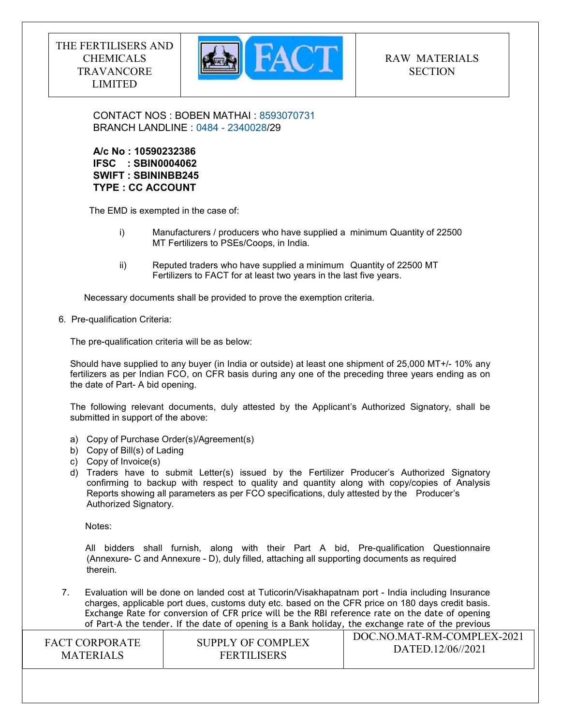

CONTACT NOS : BOBEN MATHAI : 8593070731 BRANCH LANDLINE : 0484 - 2340028/29

# A/c No : 10590232386 IFSC : SBIN0004062 SWIFT : SBININBB245 TYPE : CC ACCOUNT

The EMD is exempted in the case of:

- i) Manufacturers / producers who have supplied a minimum Quantity of 22500 MT Fertilizers to PSEs/Coops, in India.
- ii) Reputed traders who have supplied a minimum Quantity of 22500 MT Fertilizers to FACT for at least two years in the last five years.

Necessary documents shall be provided to prove the exemption criteria.

6. Pre-qualification Criteria:

The pre-qualification criteria will be as below:

Should have supplied to any buyer (in India or outside) at least one shipment of 25,000 MT+/- 10% any fertilizers as per Indian FCO, on CFR basis during any one of the preceding three years ending as on the date of Part- A bid opening.

The following relevant documents, duly attested by the Applicant's Authorized Signatory, shall be submitted in support of the above:

- a) Copy of Purchase Order(s)/Agreement(s)
- b) Copy of Bill(s) of Lading
- c) Copy of Invoice(s)
- d) Traders have to submit Letter(s) issued by the Fertilizer Producer's Authorized Signatory confirming to backup with respect to quality and quantity along with copy/copies of Analysis Reports showing all parameters as per FCO specifications, duly attested by the Producer's Authorized Signatory.

Notes:

 All bidders shall furnish, along with their Part A bid, Pre-qualification Questionnaire (Annexure- C and Annexure - D), duly filled, attaching all supporting documents as required therein.

 $\overline{D}(C) \cup \overline{D}(C) \cup \overline{D}(C) \cup \overline{D}(C) \cup \overline{D}(C) \cup \overline{D}(C) \cup \overline{D}(C) \cup \overline{D}(C) \cup \overline{D}(C) \cup \overline{D}(C) \cup \overline{D}(C) \cup \overline{D}(C) \cup \overline{D}(C) \cup \overline{D}(C) \cup \overline{D}(C) \cup \overline{D}(C) \cup \overline{D}(C) \cup \overline{D}(C) \cup \overline{D}(C) \cup \overline{D}(C) \cup \overline{D}(C) \cup \overline{D}(C) \cup$ 7. Evaluation will be done on landed cost at Tuticorin/Visakhapatnam port - India including Insurance charges, applicable port dues, customs duty etc. based on the CFR price on 180 days credit basis. Exchange Rate for conversion of CFR price will be the RBI reference rate on the date of opening of Part-A the tender. If the date of opening is a Bank holiday, the exchange rate of the previous

| <b>FACT CORPORATE</b> | SUPPLY OF COMPLEX  | DOC.NO.MAT-RM-COMPLEX-2021 |
|-----------------------|--------------------|----------------------------|
| <b>MATERIALS</b>      | <b>FERTILISERS</b> | DATED.12/06//2021          |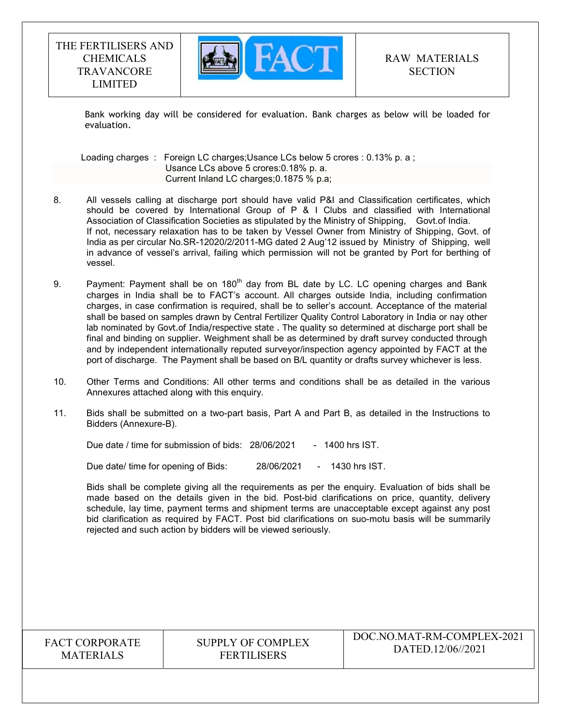

Bank working day will be considered for evaluation. Bank charges as below will be loaded for evaluation.

Loading charges : Foreign LC charges; Usance LCs below 5 crores : 0.13% p. a ; Usance LCs above 5 crores:0.18% p. a. Current Inland LC charges;0.1875 % p.a;

- 8. All vessels calling at discharge port should have valid P&I and Classification certificates, which should be covered by International Group of P & I Clubs and classified with International Association of Classification Societies as stipulated by the Ministry of Shipping, Govt.of India. If not, necessary relaxation has to be taken by Vessel Owner from Ministry of Shipping, Govt. of India as per circular No.SR-12020/2/2011-MG dated 2 Aug'12 issued by Ministry of Shipping, well in advance of vessel's arrival, failing which permission will not be granted by Port for berthing of vessel.
- 9. Payment: Payment shall be on  $180<sup>th</sup>$  day from BL date by LC. LC opening charges and Bank charges in India shall be to FACT's account. All charges outside India, including confirmation charges, in case confirmation is required, shall be to seller's account. Acceptance of the material shall be based on samples drawn by Central Fertilizer Quality Control Laboratory in India or nay other lab nominated by Govt.of India/respective state . The quality so determined at discharge port shall be final and binding on supplier. Weighment shall be as determined by draft survey conducted through and by independent internationally reputed surveyor/inspection agency appointed by FACT at the port of discharge. The Payment shall be based on B/L quantity or drafts survey whichever is less.
- 10. Other Terms and Conditions: All other terms and conditions shall be as detailed in the various Annexures attached along with this enquiry.
- 11. Bids shall be submitted on a two-part basis, Part A and Part B, as detailed in the Instructions to Bidders (Annexure-B).

Due date / time for submission of bids: 28/06/2021 - 1400 hrs IST.

Due date/ time for opening of Bids: 28/06/2021 - 1430 hrs IST.

 Bids shall be complete giving all the requirements as per the enquiry. Evaluation of bids shall be made based on the details given in the bid. Post-bid clarifications on price, quantity, delivery schedule, lay time, payment terms and shipment terms are unacceptable except against any post bid clarification as required by FACT. Post bid clarifications on suo-motu basis will be summarily rejected and such action by bidders will be viewed seriously.

FACT CORPORATE MATERIALS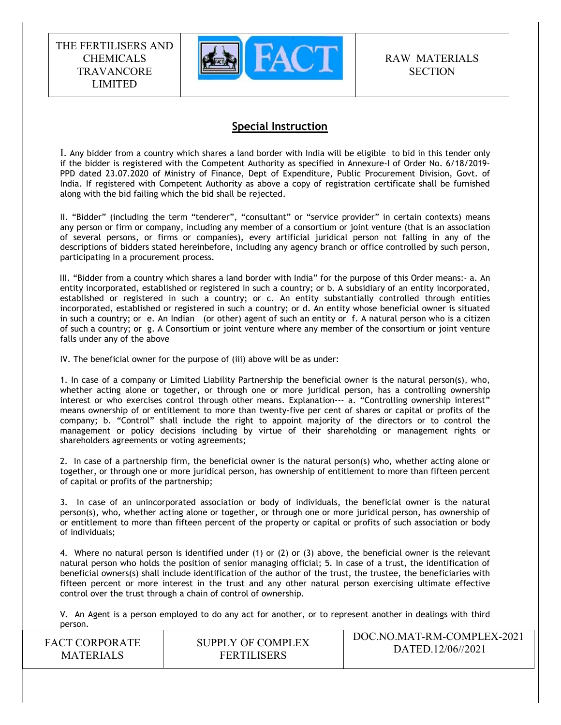

RAW MATERIALS **SECTION** 

# Special Instruction

I. Any bidder from a country which shares a land border with India will be eligible to bid in this tender only if the bidder is registered with the Competent Authority as specified in Annexure-I of Order No. 6/18/2019- PPD dated 23.07.2020 of Ministry of Finance, Dept of Expenditure, Public Procurement Division, Govt. of India. If registered with Competent Authority as above a copy of registration certificate shall be furnished along with the bid failing which the bid shall be rejected.

II. "Bidder" (including the term "tenderer", "consultant" or "service provider" in certain contexts) means any person or firm or company, including any member of a consortium or joint venture (that is an association of several persons, or firms or companies), every artificial juridical person not falling in any of the descriptions of bidders stated hereinbefore, including any agency branch or office controlled by such person, participating in a procurement process.

 III. "Bidder from a country which shares a land border with India" for the purpose of this Order means:- a. An entity incorporated, established or registered in such a country; or b. A subsidiary of an entity incorporated, established or registered in such a country; or c. An entity substantially controlled through entities incorporated, established or registered in such a country; or d. An entity whose beneficial owner is situated in such a country; or e. An Indian (or other) agent of such an entity or f. A natural person who is a citizen of such a country; or g. A Consortium or joint venture where any member of the consortium or joint venture falls under any of the above

IV. The beneficial owner for the purpose of (iii) above will be as under:

1. In case of a company or Limited Liability Partnership the beneficial owner is the natural person(s), who, whether acting alone or together, or through one or more juridical person, has a controlling ownership interest or who exercises control through other means. Explanation--- a. "Controlling ownership interest" means ownership of or entitlement to more than twenty-five per cent of shares or capital or profits of the company; b. "Control" shall include the right to appoint majority of the directors or to control the management or policy decisions including by virtue of their shareholding or management rights or shareholders agreements or voting agreements;

2. In case of a partnership firm, the beneficial owner is the natural person(s) who, whether acting alone or together, or through one or more juridical person, has ownership of entitlement to more than fifteen percent of capital or profits of the partnership;

3. In case of an unincorporated association or body of individuals, the beneficial owner is the natural person(s), who, whether acting alone or together, or through one or more juridical person, has ownership of or entitlement to more than fifteen percent of the property or capital or profits of such association or body of individuals;

4. Where no natural person is identified under (1) or (2) or (3) above, the beneficial owner is the relevant natural person who holds the position of senior managing official; 5. In case of a trust, the identification of beneficial owners(s) shall include identification of the author of the trust, the trustee, the beneficiaries with fifteen percent or more interest in the trust and any other natural person exercising ultimate effective control over the trust through a chain of control of ownership.

V. An Agent is a person employed to do any act for another, or to represent another in dealings with third person.

| <b>FACT CORPORATE</b> | SUPPLY OF COMPLEX  | DOC.NO.MAT-RM-COMPLEX-2021 |
|-----------------------|--------------------|----------------------------|
| <b>MATERIALS</b>      | <b>FERTILISERS</b> | DATED.12/06//2021          |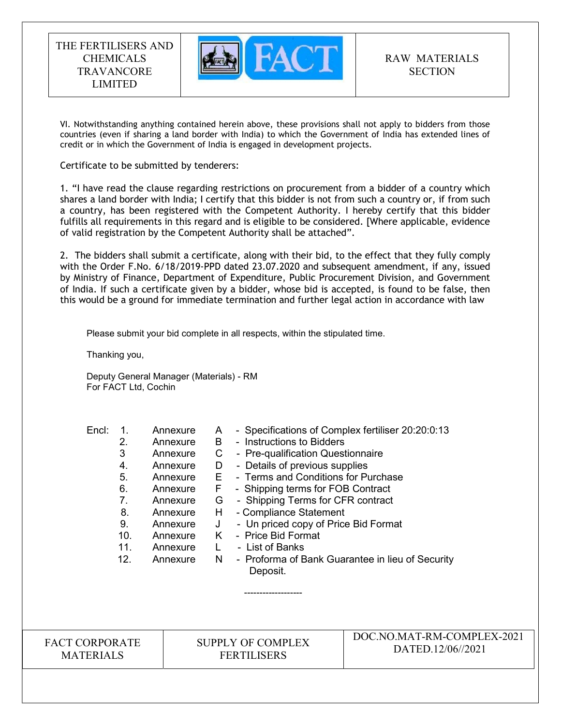

VI. Notwithstanding anything contained herein above, these provisions shall not apply to bidders from those countries (even if sharing a land border with India) to which the Government of India has extended lines of credit or in which the Government of India is engaged in development projects.

Certificate to be submitted by tenderers:

1. "I have read the clause regarding restrictions on procurement from a bidder of a country which shares a land border with India; I certify that this bidder is not from such a country or, if from such a country, has been registered with the Competent Authority. I hereby certify that this bidder fulfills all requirements in this regard and is eligible to be considered. [Where applicable, evidence of valid registration by the Competent Authority shall be attached".

2. The bidders shall submit a certificate, along with their bid, to the effect that they fully comply with the Order F.No. 6/18/2019-PPD dated 23.07.2020 and subsequent amendment, if any, issued by Ministry of Finance, Department of Expenditure, Public Procurement Division, and Government of India. If such a certificate given by a bidder, whose bid is accepted, is found to be false, then this would be a ground for immediate termination and further legal action in accordance with law

Please submit your bid complete in all respects, within the stipulated time.

Thanking you,

Deputy General Manager (Materials) - RM For FACT Ltd, Cochin

-------------------

| Encl: |     | Annexure | A  | - Specifications of Complex fertiliser 20:20:0:13 |
|-------|-----|----------|----|---------------------------------------------------|
|       | 2.  | Annexure | В  | - Instructions to Bidders                         |
|       | 3   | Annexure |    | - Pre-qualification Questionnaire                 |
|       | 4.  | Annexure | D  | - Details of previous supplies                    |
|       | 5.  | Annexure | Е  | - Terms and Conditions for Purchase               |
|       | 6.  | Annexure | F. | - Shipping terms for FOB Contract                 |
|       | 7.  | Annexure | G  | - Shipping Terms for CFR contract                 |
|       | 8.  | Annexure | H. | - Compliance Statement                            |
|       | 9.  | Annexure | J  | - Un priced copy of Price Bid Format              |
|       | 10. | Annexure |    | - Price Bid Format                                |
|       | 11. | Annexure |    | - List of Banks                                   |
|       | 12. | Annexure | N  | - Proforma of Bank Guarantee in lieu of Security  |
|       |     |          |    | Deposit.                                          |

FACT CORPORATE MATERIALS

SUPPLY OF COMPLEX FERTILISERS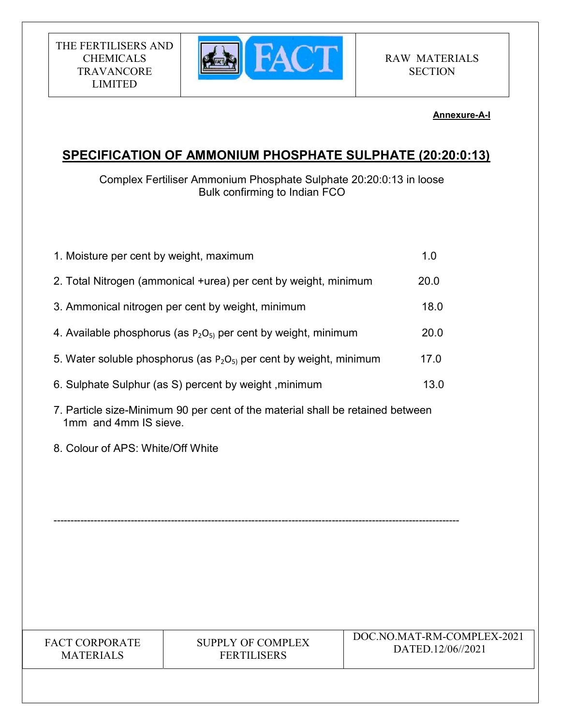

### Annexure-A-I

# SPECIFICATION OF AMMONIUM PHOSPHATE SULPHATE (20:20:0:13)

Complex Fertiliser Ammonium Phosphate Sulphate 20:20:0:13 in loose Bulk confirming to Indian FCO

| 1. Moisture per cent by weight, maximum |                                                                                | 1.0                                             |
|-----------------------------------------|--------------------------------------------------------------------------------|-------------------------------------------------|
|                                         | 2. Total Nitrogen (ammonical +urea) per cent by weight, minimum                | 20.0                                            |
|                                         | 3. Ammonical nitrogen per cent by weight, minimum                              | 18.0                                            |
|                                         | 4. Available phosphorus (as $P_2O_{5}$ ) per cent by weight, minimum           | 20.0                                            |
|                                         | 5. Water soluble phosphorus (as $P_2O_{5}$ ) per cent by weight, minimum       | 17.0                                            |
|                                         | 6. Sulphate Sulphur (as S) percent by weight, minimum                          | 13.0                                            |
| 1mm and 4mm IS sieve.                   | 7. Particle size-Minimum 90 per cent of the material shall be retained between |                                                 |
| 8. Colour of APS: White/Off White       |                                                                                |                                                 |
|                                         |                                                                                |                                                 |
|                                         |                                                                                |                                                 |
|                                         |                                                                                |                                                 |
|                                         |                                                                                |                                                 |
|                                         |                                                                                |                                                 |
|                                         |                                                                                |                                                 |
| FACT CORPORATE<br><b>MATERIALS</b>      | <b>SUPPLY OF COMPLEX</b><br><b>FERTILISERS</b>                                 | DOC.NO.MAT-RM-COMPLEX-2021<br>DATED.12/06//2021 |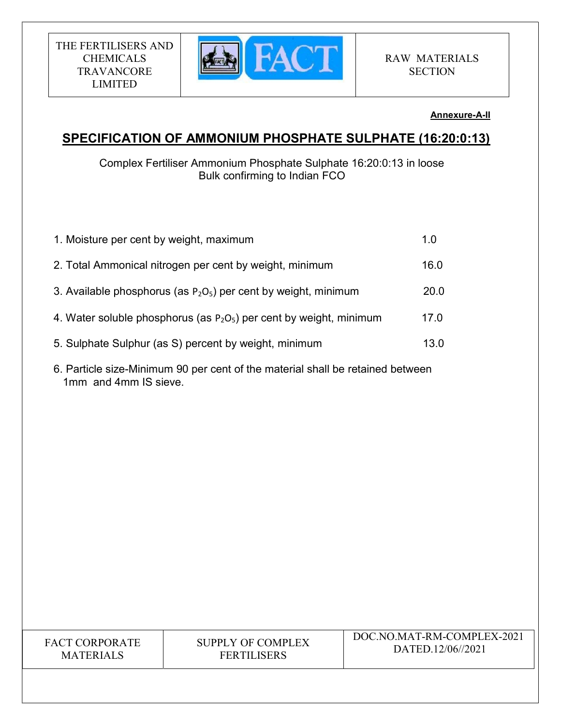

### Annexure-A-II

# SPECIFICATION OF AMMONIUM PHOSPHATE SULPHATE (16:20:0:13)

Complex Fertiliser Ammonium Phosphate Sulphate 16:20:0:13 in loose Bulk confirming to Indian FCO

| 1. Moisture per cent by weight, maximum                                | 1.0  |
|------------------------------------------------------------------------|------|
| 2. Total Ammonical nitrogen per cent by weight, minimum                | 16.0 |
| 3. Available phosphorus (as $P_2O_5$ ) per cent by weight, minimum     | 20.0 |
| 4. Water soluble phosphorus (as $P_2O_5$ ) per cent by weight, minimum | 17.0 |
| 5. Sulphate Sulphur (as S) percent by weight, minimum                  | 13.0 |
|                                                                        |      |

6. Particle size-Minimum 90 per cent of the material shall be retained between 1mm and 4mm IS sieve.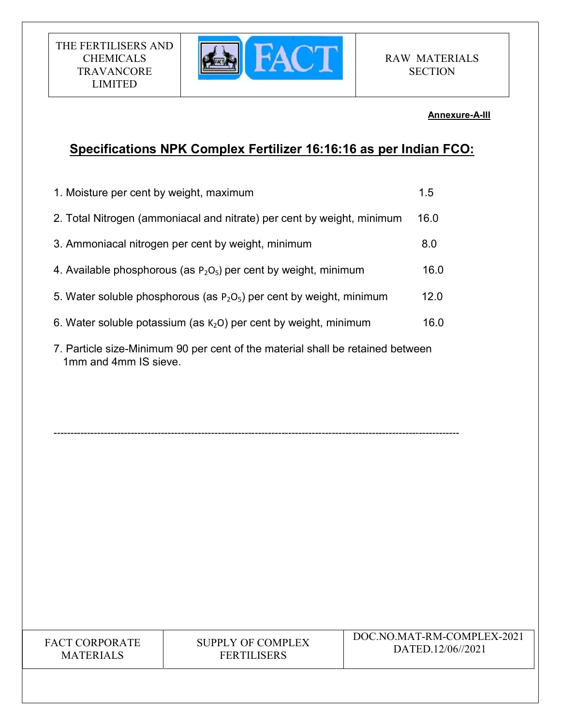

### Annexure-A-III

# Specifications NPK Complex Fertilizer 16:16:16 as per Indian FCO:

| 1. Moisture per cent by weight, maximum                                 | 1.5  |
|-------------------------------------------------------------------------|------|
| 2. Total Nitrogen (ammoniacal and nitrate) per cent by weight, minimum  | 16.0 |
| 3. Ammoniacal nitrogen per cent by weight, minimum                      | 8.0  |
| 4. Available phosphorous (as $P_2O_5$ ) per cent by weight, minimum     | 16.0 |
| 5. Water soluble phosphorous (as $P_2O_5$ ) per cent by weight, minimum | 12.0 |
| 6. Water soluble potassium (as $K_2O$ ) per cent by weight, minimum     | 16.0 |
|                                                                         |      |

7. Particle size-Minimum 90 per cent of the material shall be retained between 1mm and 4mm IS sieve.

-------------------------------------------------------------------------------------------------------------------------

FACT CORPORATE MATERIALS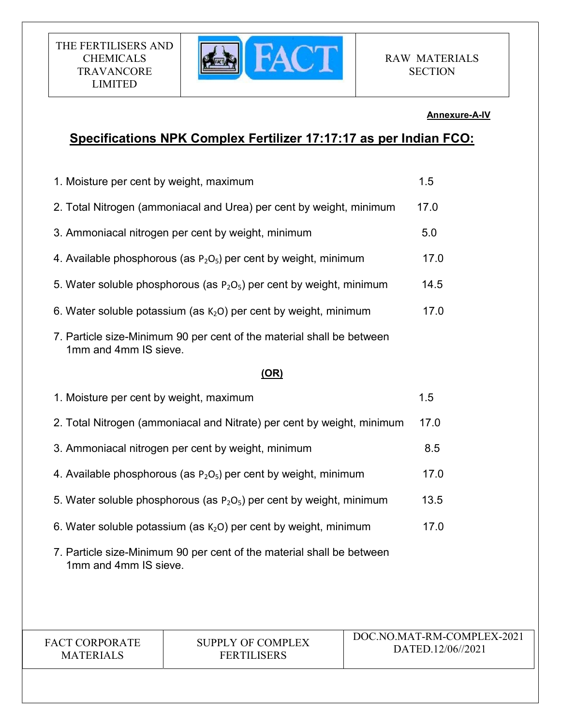

### Annexure-A-IV

# Specifications NPK Complex Fertilizer 17:17:17 as per Indian FCO:

| 1. Moisture per cent by weight, maximum                                    | 1.5                                                                     |                                                 |
|----------------------------------------------------------------------------|-------------------------------------------------------------------------|-------------------------------------------------|
| 2. Total Nitrogen (ammoniacal and Urea) per cent by weight, minimum        | 17.0                                                                    |                                                 |
|                                                                            | 3. Ammoniacal nitrogen per cent by weight, minimum                      | 5.0                                             |
|                                                                            | 4. Available phosphorous (as $P_2O_5$ ) per cent by weight, minimum     | 17.0                                            |
|                                                                            | 5. Water soluble phosphorous (as $P_2O_5$ ) per cent by weight, minimum | 14.5                                            |
|                                                                            | 6. Water soluble potassium (as $K2O$ ) per cent by weight, minimum      | 17.0                                            |
| 1mm and 4mm IS sieve.                                                      | 7. Particle size-Minimum 90 per cent of the material shall be between   |                                                 |
|                                                                            | (OR)                                                                    |                                                 |
| 1. Moisture per cent by weight, maximum                                    |                                                                         | 1.5                                             |
| 2. Total Nitrogen (ammoniacal and Nitrate) per cent by weight, minimum     | 17.0                                                                    |                                                 |
| 3. Ammoniacal nitrogen per cent by weight, minimum<br>8.5                  |                                                                         |                                                 |
| 4. Available phosphorous (as $P_2O_5$ ) per cent by weight, minimum        | 17.0                                                                    |                                                 |
| 5. Water soluble phosphorous (as $P_2O_5$ ) per cent by weight, minimum    | 13.5                                                                    |                                                 |
| 6. Water soluble potassium (as $K2O$ ) per cent by weight, minimum<br>17.0 |                                                                         |                                                 |
| 1mm and 4mm IS sieve.                                                      | 7. Particle size-Minimum 90 per cent of the material shall be between   |                                                 |
|                                                                            |                                                                         |                                                 |
| FACT CORPORATE<br><b>MATERIALS</b>                                         | <b>SUPPLY OF COMPLEX</b><br><b>FERTILISERS</b>                          | DOC.NO.MAT-RM-COMPLEX-2021<br>DATED.12/06//2021 |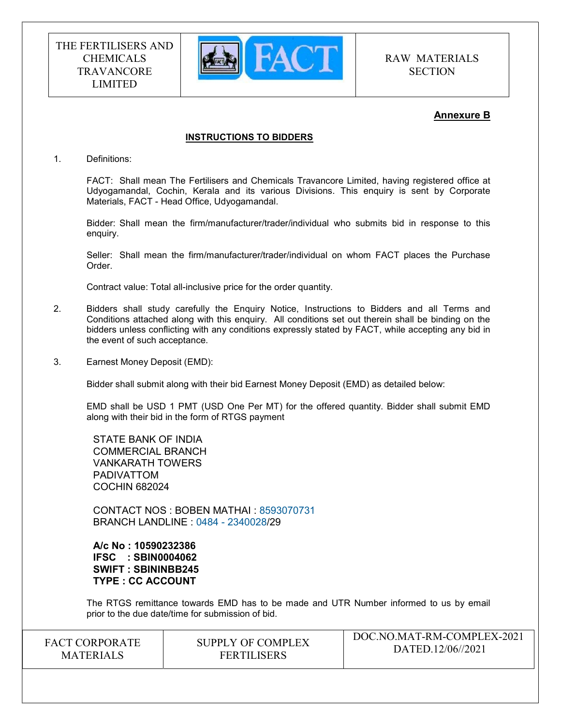

RAW MATERIALS **SECTION** 

 $DQQ1IQ1I$ 

# Annexure B

#### INSTRUCTIONS TO BIDDERS

1. Definitions:

FACT: Shall mean The Fertilisers and Chemicals Travancore Limited, having registered office at Udyogamandal, Cochin, Kerala and its various Divisions. This enquiry is sent by Corporate Materials, FACT - Head Office, Udyogamandal.

Bidder: Shall mean the firm/manufacturer/trader/individual who submits bid in response to this enquiry.

Seller: Shall mean the firm/manufacturer/trader/individual on whom FACT places the Purchase Order.

Contract value: Total all-inclusive price for the order quantity.

- 2. Bidders shall study carefully the Enquiry Notice, Instructions to Bidders and all Terms and Conditions attached along with this enquiry. All conditions set out therein shall be binding on the bidders unless conflicting with any conditions expressly stated by FACT, while accepting any bid in the event of such acceptance.
- 3. Earnest Money Deposit (EMD):

Bidder shall submit along with their bid Earnest Money Deposit (EMD) as detailed below:

EMD shall be USD 1 PMT (USD One Per MT) for the offered quantity. Bidder shall submit EMD along with their bid in the form of RTGS payment

STATE BANK OF INDIA COMMERCIAL BRANCH VANKARATH TOWERS PADIVATTOM COCHIN 682024

CONTACT NOS : BOBEN MATHAI : 8593070731 BRANCH LANDLINE : 0484 - 2340028/29

A/c No : 10590232386 IFSC : SBIN0004062 SWIFT : SBININBB245 TYPE : CC ACCOUNT

The RTGS remittance towards EMD has to be made and UTR Number informed to us by email prior to the due date/time for submission of bid.

| <b>FACT CORPORATE</b> | SUPPLY OF COMPLEX  | DOC.NO.MAT-RM-COMPLEX-2021 |
|-----------------------|--------------------|----------------------------|
| <b>MATERIALS</b>      | <b>FERTILISERS</b> | DATED.12/06//2021          |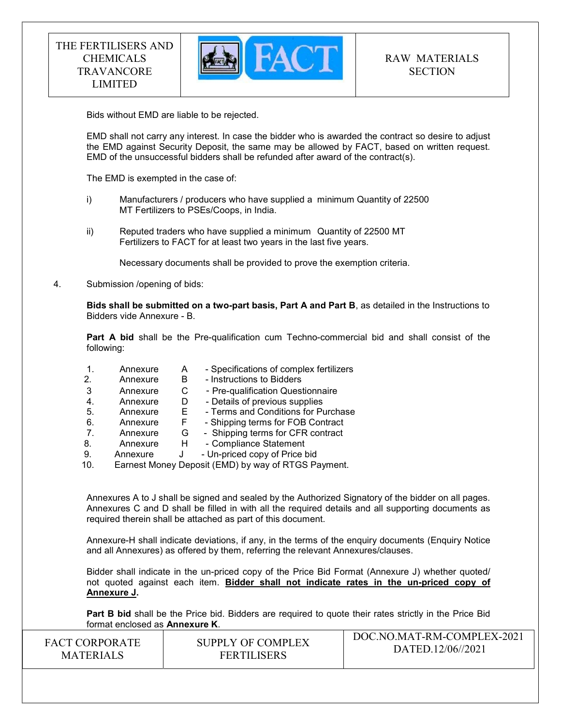

Bids without EMD are liable to be rejected.

EMD shall not carry any interest. In case the bidder who is awarded the contract so desire to adjust the EMD against Security Deposit, the same may be allowed by FACT, based on written request. EMD of the unsuccessful bidders shall be refunded after award of the contract(s).

The EMD is exempted in the case of:

- i) Manufacturers / producers who have supplied a minimum Quantity of 22500 MT Fertilizers to PSEs/Coops, in India.
- ii) Reputed traders who have supplied a minimum Quantity of 22500 MT Fertilizers to FACT for at least two years in the last five years.

Necessary documents shall be provided to prove the exemption criteria.

4. Submission /opening of bids:

Bids shall be submitted on a two-part basis, Part A and Part B, as detailed in the Instructions to Bidders vide Annexure - B.

Part A bid shall be the Pre-qualification cum Techno-commercial bid and shall consist of the following:

 1. Annexure A - Specifications of complex fertilizers 2. Annexure B - Instructions to Bidders 3 Annexure C - Pre-qualification Questionnaire 4. Annexure D - Details of previous supplies 5. Annexure E - Terms and Conditions for Purchase<br>6. Annexure F - Shipping terms for FOB Contract 6. Annexure F - Shipping terms for FOB Contract 7. Annexure G - Shipping terms for CFR contract 8. Annexure H - Compliance Statement 9. Annexure J - Un-priced copy of Price bid 10. Earnest Money Deposit (EMD) by way of RTGS Payment.

Annexures A to J shall be signed and sealed by the Authorized Signatory of the bidder on all pages. Annexures C and D shall be filled in with all the required details and all supporting documents as required therein shall be attached as part of this document.

Annexure-H shall indicate deviations, if any, in the terms of the enquiry documents (Enquiry Notice and all Annexures) as offered by them, referring the relevant Annexures/clauses.

Bidder shall indicate in the un-priced copy of the Price Bid Format (Annexure J) whether quoted/ not quoted against each item. Bidder shall not indicate rates in the un-priced copy of Annexure J.

DOC.NO.MAT-RM-COMPLEX-2021 Part B bid shall be the Price bid. Bidders are required to quote their rates strictly in the Price Bid format enclosed as Annexure K.

| <b>FACT CORPORATE</b> | SUPPLY OF COMPLEX  | DOC.NO.MAT-RM-COMPLEX-2021 |
|-----------------------|--------------------|----------------------------|
|                       |                    | DATED.12/06//2021          |
| <b>MATERIALS</b>      | <b>FERTILISERS</b> |                            |
|                       |                    |                            |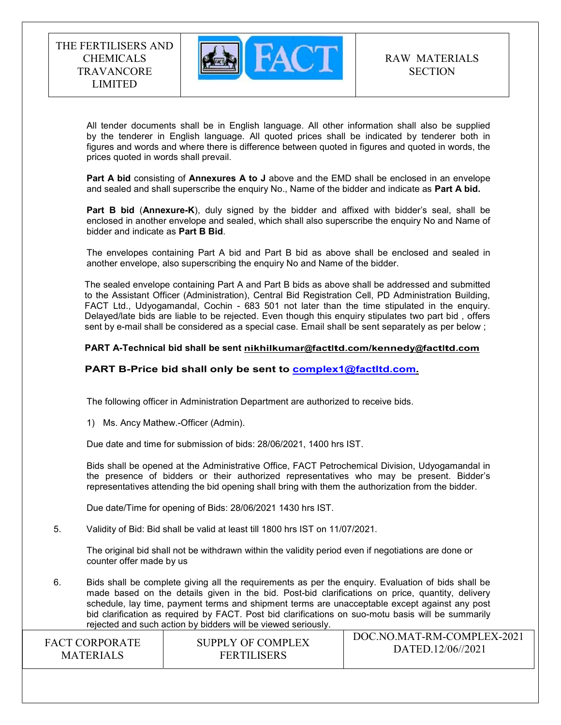

 All tender documents shall be in English language. All other information shall also be supplied by the tenderer in English language. All quoted prices shall be indicated by tenderer both in figures and words and where there is difference between quoted in figures and quoted in words, the prices quoted in words shall prevail.

Part A bid consisting of Annexures A to J above and the EMD shall be enclosed in an envelope and sealed and shall superscribe the enquiry No., Name of the bidder and indicate as Part A bid.

Part B bid (Annexure-K), duly signed by the bidder and affixed with bidder's seal, shall be enclosed in another envelope and sealed, which shall also superscribe the enquiry No and Name of bidder and indicate as Part B Bid.

The envelopes containing Part A bid and Part B bid as above shall be enclosed and sealed in another envelope, also superscribing the enquiry No and Name of the bidder.

The sealed envelope containing Part A and Part B bids as above shall be addressed and submitted to the Assistant Officer (Administration), Central Bid Registration Cell, PD Administration Building, FACT Ltd., Udyogamandal, Cochin - 683 501 not later than the time stipulated in the enquiry. Delayed/late bids are liable to be rejected. Even though this enquiry stipulates two part bid , offers sent by e-mail shall be considered as a special case. Email shall be sent separately as per below ;

#### PART A-Technical bid shall be sent nikhilkumar@factltd.com/kennedy@factltd.com

### PART B-Price bid shall only be sent to complex1@factltd.com.

The following officer in Administration Department are authorized to receive bids.

1) Ms. Ancy Mathew.-Officer (Admin).

Due date and time for submission of bids: 28/06/2021, 1400 hrs IST.

Bids shall be opened at the Administrative Office, FACT Petrochemical Division, Udyogamandal in the presence of bidders or their authorized representatives who may be present. Bidder's representatives attending the bid opening shall bring with them the authorization from the bidder.

Due date/Time for opening of Bids: 28/06/2021 1430 hrs IST.

5. Validity of Bid: Bid shall be valid at least till 1800 hrs IST on 11/07/2021.

The original bid shall not be withdrawn within the validity period even if negotiations are done or counter offer made by us

6. Bids shall be complete giving all the requirements as per the enquiry. Evaluation of bids shall be made based on the details given in the bid. Post-bid clarifications on price, quantity, delivery schedule, lay time, payment terms and shipment terms are unacceptable except against any post bid clarification as required by FACT. Post bid clarifications on suo-motu basis will be summarily rejected and such action by bidders will be viewed seriously.

| <b>FACT CORPORATE</b> | SUPPLY OF COMPLEX  | DOC.NO.MAT-RM-COMPLEX-2021 |
|-----------------------|--------------------|----------------------------|
| <b>MATERIALS</b>      | <b>FERTILISERS</b> | DATED.12/06//2021          |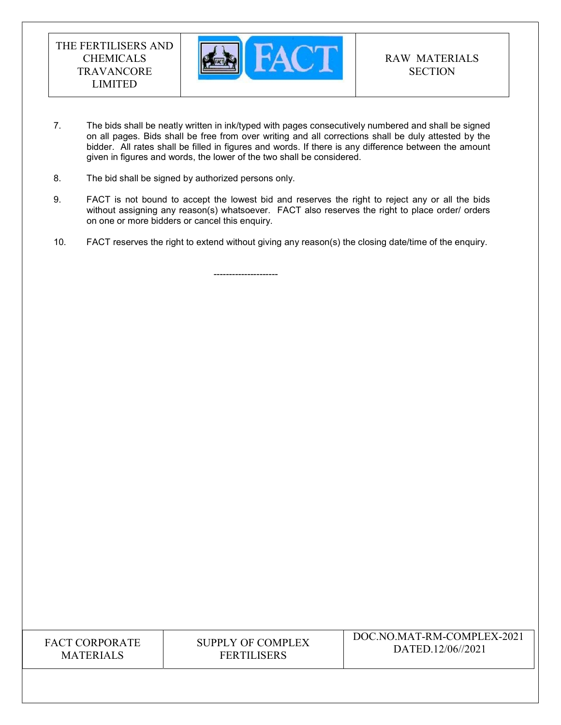

- 7. The bids shall be neatly written in ink/typed with pages consecutively numbered and shall be signed on all pages. Bids shall be free from over writing and all corrections shall be duly attested by the bidder. All rates shall be filled in figures and words. If there is any difference between the amount given in figures and words, the lower of the two shall be considered.
- 8. The bid shall be signed by authorized persons only.
- 9. FACT is not bound to accept the lowest bid and reserves the right to reject any or all the bids without assigning any reason(s) whatsoever. FACT also reserves the right to place order/ orders on one or more bidders or cancel this enquiry.
- 10. FACT reserves the right to extend without giving any reason(s) the closing date/time of the enquiry.

---------------------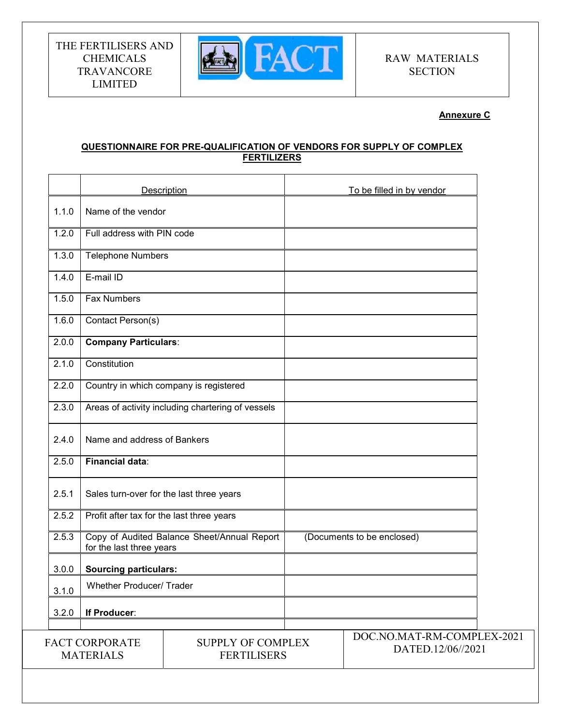

### Annexure C

### QUESTIONNAIRE FOR PRE-QUALIFICATION OF VENDORS FOR SUPPLY OF COMPLEX FERTILIZERS

|       |                                           | Description                                       | To be filled in by vendor                       |  |
|-------|-------------------------------------------|---------------------------------------------------|-------------------------------------------------|--|
| 1.1.0 | Name of the vendor                        |                                                   |                                                 |  |
| 1.2.0 | Full address with PIN code                |                                                   |                                                 |  |
| 1.3.0 | <b>Telephone Numbers</b>                  |                                                   |                                                 |  |
| 1.4.0 | E-mail ID                                 |                                                   |                                                 |  |
| 1.5.0 | Fax Numbers                               |                                                   |                                                 |  |
| 1.6.0 | Contact Person(s)                         |                                                   |                                                 |  |
| 2.0.0 | <b>Company Particulars:</b>               |                                                   |                                                 |  |
| 2.1.0 | Constitution                              |                                                   |                                                 |  |
| 2.2.0 |                                           | Country in which company is registered            |                                                 |  |
| 2.3.0 |                                           | Areas of activity including chartering of vessels |                                                 |  |
| 2.4.0 | Name and address of Bankers               |                                                   |                                                 |  |
| 2.5.0 | <b>Financial data:</b>                    |                                                   |                                                 |  |
| 2.5.1 | Sales turn-over for the last three years  |                                                   |                                                 |  |
| 2.5.2 | Profit after tax for the last three years |                                                   |                                                 |  |
| 2.5.3 | for the last three years                  | Copy of Audited Balance Sheet/Annual Report       | (Documents to be enclosed)                      |  |
| 3.0.0 | <b>Sourcing particulars:</b>              |                                                   |                                                 |  |
| 3.1.0 | Whether Producer/ Trader                  |                                                   |                                                 |  |
| 3.2.0 | If Producer:                              |                                                   |                                                 |  |
|       | <b>FACT CORPORATE</b><br><b>MATERIALS</b> | <b>SUPPLY OF COMPLEX</b><br><b>FERTILISERS</b>    | DOC.NO.MAT-RM-COMPLEX-2021<br>DATED.12/06//2021 |  |
|       |                                           |                                                   |                                                 |  |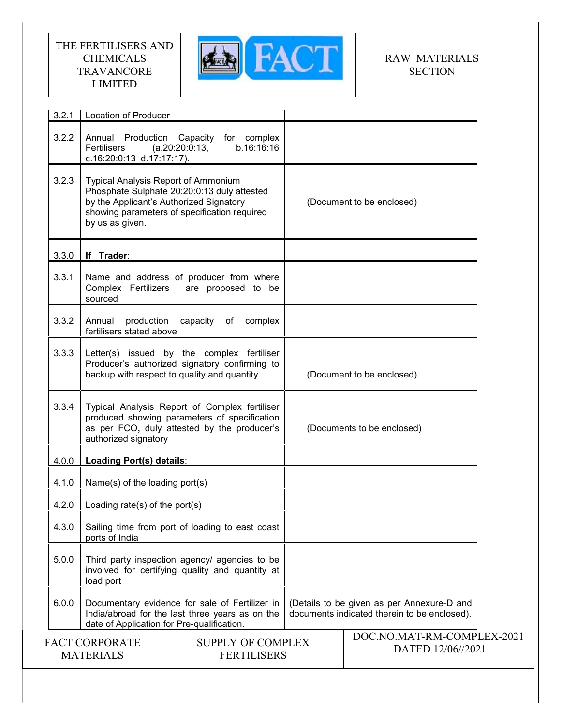

# RAW MATERIALS **SECTION**

| 3.2.1                                                                                       | <b>Location of Producer</b>                                                                                                                                                                             |                                                                        |                                                                                            |  |
|---------------------------------------------------------------------------------------------|---------------------------------------------------------------------------------------------------------------------------------------------------------------------------------------------------------|------------------------------------------------------------------------|--------------------------------------------------------------------------------------------|--|
| 3.2.2                                                                                       | Fertilisers<br>c.16:20:0:13 d.17:17:17).                                                                                                                                                                | Annual Production Capacity for complex<br>b.16:16:16<br>(a.20:20:0:13, |                                                                                            |  |
| 3.2.3                                                                                       | <b>Typical Analysis Report of Ammonium</b><br>Phosphate Sulphate 20:20:0:13 duly attested<br>by the Applicant's Authorized Signatory<br>showing parameters of specification required<br>by us as given. |                                                                        | (Document to be enclosed)                                                                  |  |
| 3.3.0                                                                                       | If Trader:                                                                                                                                                                                              |                                                                        |                                                                                            |  |
| 3.3.1                                                                                       | Complex Fertilizers<br>sourced                                                                                                                                                                          | Name and address of producer from where<br>are proposed to be          |                                                                                            |  |
| 3.3.2                                                                                       | Annual<br>production<br>fertilisers stated above                                                                                                                                                        | capacity<br>complex<br>of                                              |                                                                                            |  |
| 3.3.3                                                                                       | Letter(s) issued by the complex fertiliser<br>Producer's authorized signatory confirming to<br>backup with respect to quality and quantity                                                              |                                                                        | (Document to be enclosed)                                                                  |  |
| 3.3.4                                                                                       | Typical Analysis Report of Complex fertiliser<br>produced showing parameters of specification<br>as per FCO, duly attested by the producer's<br>authorized signatory                                    |                                                                        | (Documents to be enclosed)                                                                 |  |
| 4.0.0                                                                                       | Loading Port(s) details:                                                                                                                                                                                |                                                                        |                                                                                            |  |
| 4.1.0                                                                                       | Name(s) of the loading port(s)                                                                                                                                                                          |                                                                        |                                                                                            |  |
| 4.2.0                                                                                       | Loading rate(s) of the port(s)                                                                                                                                                                          |                                                                        |                                                                                            |  |
| 4.3.0                                                                                       | Sailing time from port of loading to east coast<br>ports of India                                                                                                                                       |                                                                        |                                                                                            |  |
| 5.0.0                                                                                       | Third party inspection agency/ agencies to be<br>involved for certifying quality and quantity at<br>load port                                                                                           |                                                                        |                                                                                            |  |
| 6.0.0                                                                                       | Documentary evidence for sale of Fertilizer in<br>India/abroad for the last three years as on the<br>date of Application for Pre-qualification.                                                         |                                                                        | (Details to be given as per Annexure-D and<br>documents indicated therein to be enclosed). |  |
| <b>FACT CORPORATE</b><br><b>SUPPLY OF COMPLEX</b><br><b>FERTILISERS</b><br><b>MATERIALS</b> |                                                                                                                                                                                                         | DOC.NO.MAT-RM-COMPLEX-2021<br>DATED.12/06//2021                        |                                                                                            |  |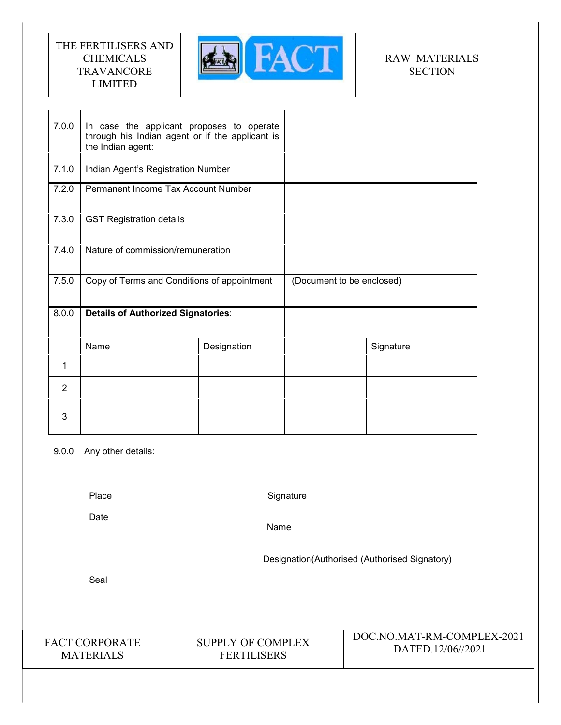

# RAW MATERIALS **SECTION**

| 7.0.0 | In case the applicant proposes to operate<br>through his Indian agent or if the applicant is<br>the Indian agent: |             |                           |           |
|-------|-------------------------------------------------------------------------------------------------------------------|-------------|---------------------------|-----------|
| 7.1.0 | Indian Agent's Registration Number                                                                                |             |                           |           |
| 7.2.0 | Permanent Income Tax Account Number                                                                               |             |                           |           |
| 7.3.0 | <b>GST Registration details</b>                                                                                   |             |                           |           |
| 7.4.0 | Nature of commission/remuneration                                                                                 |             |                           |           |
| 7.5.0 | Copy of Terms and Conditions of appointment                                                                       |             | (Document to be enclosed) |           |
| 8.0.0 | <b>Details of Authorized Signatories:</b>                                                                         |             |                           |           |
|       | Name                                                                                                              | Designation |                           | Signature |
|       |                                                                                                                   |             |                           |           |
| 1     |                                                                                                                   |             |                           |           |
| 2     |                                                                                                                   |             |                           |           |

9.0.0 Any other details:

Place

**Signature** 

Date

Name

Designation(Authorised (Authorised Signatory)

Seal

FACT CORPORATE MATERIALS

SUPPLY OF COMPLEX FERTILISERS

DOC.NO.MAT-RM-COMPLEX-2021 DATED.12/06//2021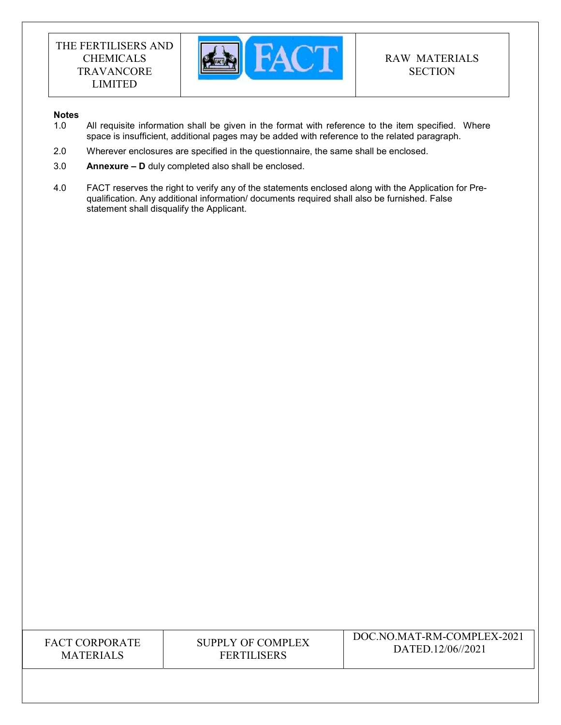

### **Notes**

- 1.0 All requisite information shall be given in the format with reference to the item specified. Where space is insufficient, additional pages may be added with reference to the related paragraph.
- 2.0 Wherever enclosures are specified in the questionnaire, the same shall be enclosed.
- 3.0 Annexure D duly completed also shall be enclosed.
- 4.0 FACT reserves the right to verify any of the statements enclosed along with the Application for Prequalification. Any additional information/ documents required shall also be furnished. False statement shall disqualify the Applicant.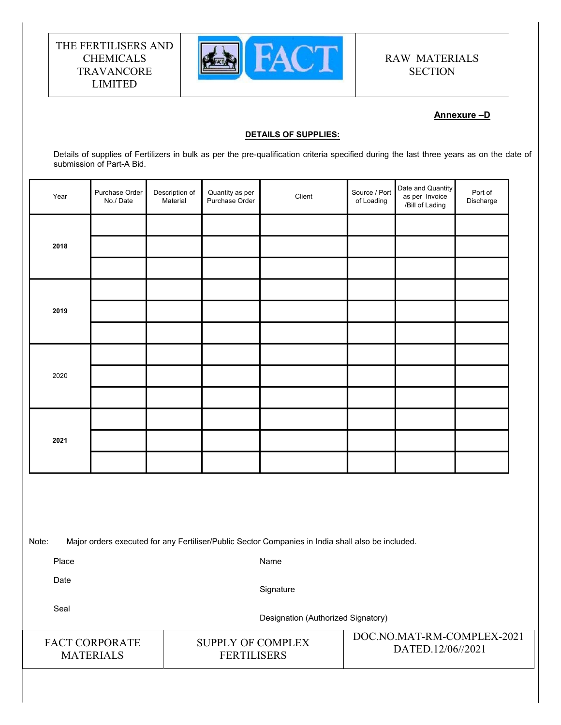

# RAW MATERIALS **SECTION**

### Annexure –D

#### DETAILS OF SUPPLIES:

Details of supplies of Fertilizers in bulk as per the pre-qualification criteria specified during the last three years as on the date of submission of Part-A Bid.

| Year | Purchase Order<br>No./Date | Description of<br>Material | Quantity as per<br>Purchase Order | Client | Source / Port<br>of Loading | Date and Quantity<br>as per Invoice<br>/Bill of Lading | Port of<br>Discharge |
|------|----------------------------|----------------------------|-----------------------------------|--------|-----------------------------|--------------------------------------------------------|----------------------|
|      |                            |                            |                                   |        |                             |                                                        |                      |
| 2018 |                            |                            |                                   |        |                             |                                                        |                      |
|      |                            |                            |                                   |        |                             |                                                        |                      |
|      |                            |                            |                                   |        |                             |                                                        |                      |
| 2019 |                            |                            |                                   |        |                             |                                                        |                      |
|      |                            |                            |                                   |        |                             |                                                        |                      |
|      |                            |                            |                                   |        |                             |                                                        |                      |
| 2020 |                            |                            |                                   |        |                             |                                                        |                      |
|      |                            |                            |                                   |        |                             |                                                        |                      |
|      |                            |                            |                                   |        |                             |                                                        |                      |
| 2021 |                            |                            |                                   |        |                             |                                                        |                      |
|      |                            |                            |                                   |        |                             |                                                        |                      |
|      |                            |                            |                                   |        |                             |                                                        |                      |
|      |                            |                            |                                   |        |                             |                                                        |                      |
|      |                            |                            |                                   |        |                             |                                                        |                      |

Note: Major orders executed for any Fertiliser/Public Sector Companies in India shall also be included.

Place

Name

Date

**Signature** 

Seal

Designation (Authorized Signatory)

| <b>FACT CORPORATE</b> |
|-----------------------|
| <b>MATERIALS</b>      |

SUPPLY OF COMPLEX FERTILISERS

DOC.NO.MAT-RM-COMPLEX-2021 DATED.12/06//2021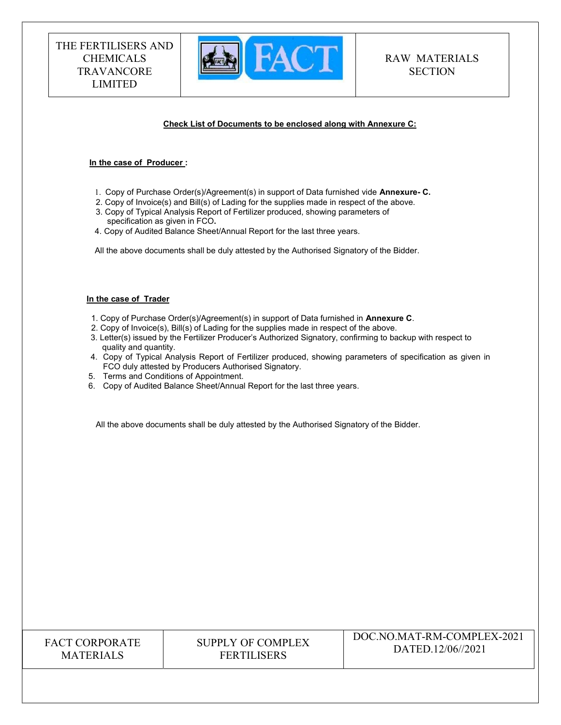

#### Check List of Documents to be enclosed along with Annexure C:

#### In the case of Producer :

- 1. Copy of Purchase Order(s)/Agreement(s) in support of Data furnished vide Annexure- C.
- 2. Copy of Invoice(s) and Bill(s) of Lading for the supplies made in respect of the above. 3. Copy of Typical Analysis Report of Fertilizer produced, showing parameters of
- specification as given in FCO. 4. Copy of Audited Balance Sheet/Annual Report for the last three years.
- All the above documents shall be duly attested by the Authorised Signatory of the Bidder.

#### In the case of Trader

- 1. Copy of Purchase Order(s)/Agreement(s) in support of Data furnished in Annexure C.
- 2. Copy of Invoice(s), Bill(s) of Lading for the supplies made in respect of the above.
- 3. Letter(s) issued by the Fertilizer Producer's Authorized Signatory, confirming to backup with respect to quality and quantity.
- 4. Copy of Typical Analysis Report of Fertilizer produced, showing parameters of specification as given in FCO duly attested by Producers Authorised Signatory.
- 5. Terms and Conditions of Appointment.
- 6. Copy of Audited Balance Sheet/Annual Report for the last three years.

All the above documents shall be duly attested by the Authorised Signatory of the Bidder.

| <b>FACT CORPORATE</b> |
|-----------------------|
| <b>MATERIALS</b>      |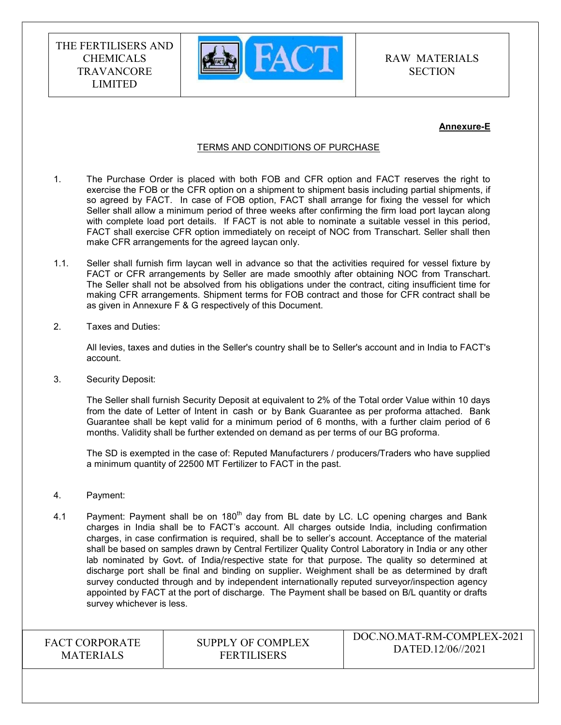

RAW MATERIALS **SECTION** 

#### Annexure-E

#### TERMS AND CONDITIONS OF PURCHASE

- 1. The Purchase Order is placed with both FOB and CFR option and FACT reserves the right to exercise the FOB or the CFR option on a shipment to shipment basis including partial shipments, if so agreed by FACT. In case of FOB option, FACT shall arrange for fixing the vessel for which Seller shall allow a minimum period of three weeks after confirming the firm load port laycan along with complete load port details. If FACT is not able to nominate a suitable vessel in this period, FACT shall exercise CFR option immediately on receipt of NOC from Transchart. Seller shall then make CFR arrangements for the agreed laycan only.
- 1.1. Seller shall furnish firm laycan well in advance so that the activities required for vessel fixture by FACT or CFR arrangements by Seller are made smoothly after obtaining NOC from Transchart. The Seller shall not be absolved from his obligations under the contract, citing insufficient time for making CFR arrangements. Shipment terms for FOB contract and those for CFR contract shall be as given in Annexure F & G respectively of this Document.
- 2. Taxes and Duties:

All levies, taxes and duties in the Seller's country shall be to Seller's account and in India to FACT's account.

3. Security Deposit:

The Seller shall furnish Security Deposit at equivalent to 2% of the Total order Value within 10 days from the date of Letter of Intent in cash or by Bank Guarantee as per proforma attached. Bank Guarantee shall be kept valid for a minimum period of 6 months, with a further claim period of 6 months. Validity shall be further extended on demand as per terms of our BG proforma.

The SD is exempted in the case of: Reputed Manufacturers / producers/Traders who have supplied a minimum quantity of 22500 MT Fertilizer to FACT in the past.

- 4. Payment:
- 4.1 Payment: Payment shall be on  $180<sup>th</sup>$  day from BL date by LC. LC opening charges and Bank charges in India shall be to FACT's account. All charges outside India, including confirmation charges, in case confirmation is required, shall be to seller's account. Acceptance of the material shall be based on samples drawn by Central Fertilizer Quality Control Laboratory in India or any other lab nominated by Govt. of India/respective state for that purpose. The quality so determined at discharge port shall be final and binding on supplier. Weighment shall be as determined by draft survey conducted through and by independent internationally reputed surveyor/inspection agency appointed by FACT at the port of discharge. The Payment shall be based on B/L quantity or drafts survey whichever is less.

FACT CORPORATE MATERIALS

SUPPLY OF COMPLEX FERTILISERS

DOC.NO.MAT-RM-COMPLEX-2021 DATED.12/06//2021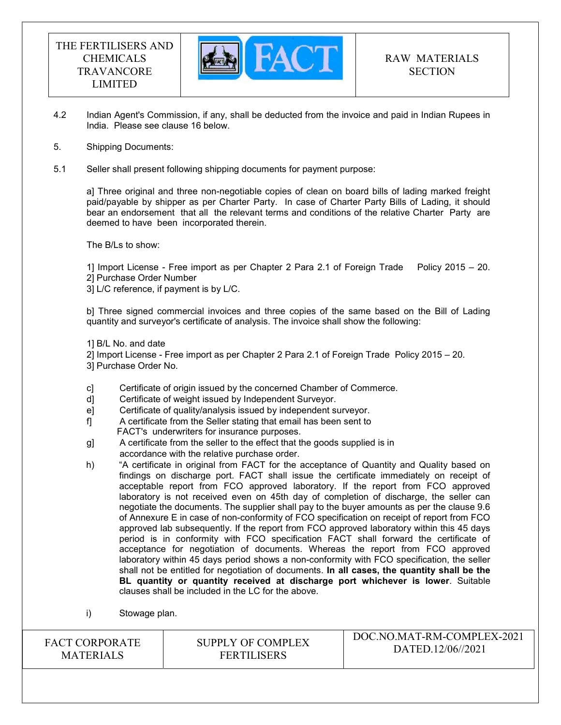

- 4.2 Indian Agent's Commission, if any, shall be deducted from the invoice and paid in Indian Rupees in India. Please see clause 16 below.
- 5. Shipping Documents:
- 5.1 Seller shall present following shipping documents for payment purpose:

a] Three original and three non-negotiable copies of clean on board bills of lading marked freight paid/payable by shipper as per Charter Party. In case of Charter Party Bills of Lading, it should bear an endorsement that all the relevant terms and conditions of the relative Charter Party are deemed to have been incorporated therein.

The B/Ls to show:

1] Import License - Free import as per Chapter 2 Para 2.1 of Foreign Trade Policy 2015 – 20. 2] Purchase Order Number

3] L/C reference, if payment is by L/C.

b] Three signed commercial invoices and three copies of the same based on the Bill of Lading quantity and surveyor's certificate of analysis. The invoice shall show the following:

1] B/L No. and date

2] Import License - Free import as per Chapter 2 Para 2.1 of Foreign Trade Policy 2015 – 20. 3] Purchase Order No.

- c] Certificate of origin issued by the concerned Chamber of Commerce.
- d] Certificate of weight issued by Independent Surveyor.
- e] Certificate of quality/analysis issued by independent surveyor.
- f] A certificate from the Seller stating that email has been sent to FACT's underwriters for insurance purposes.
- g] A certificate from the seller to the effect that the goods supplied is in accordance with the relative purchase order.
- h) "A certificate in original from FACT for the acceptance of Quantity and Quality based on findings on discharge port. FACT shall issue the certificate immediately on receipt of acceptable report from FCO approved laboratory. If the report from FCO approved laboratory is not received even on 45th day of completion of discharge, the seller can negotiate the documents. The supplier shall pay to the buyer amounts as per the clause 9.6 of Annexure E in case of non-conformity of FCO specification on receipt of report from FCO approved lab subsequently. If the report from FCO approved laboratory within this 45 days period is in conformity with FCO specification FACT shall forward the certificate of acceptance for negotiation of documents. Whereas the report from FCO approved laboratory within 45 days period shows a non-conformity with FCO specification, the seller shall not be entitled for negotiation of documents. In all cases, the quantity shall be the BL quantity or quantity received at discharge port whichever is lower. Suitable clauses shall be included in the LC for the above.
- i) Stowage plan.

| <b>FACT CORPORATE</b> |
|-----------------------|
| <b>MATERIALS</b>      |

# SUPPLY OF COMPLEX FERTILISERS

# DOC.NO.MAT-RM-COMPLEX-2021 DATED.12/06//2021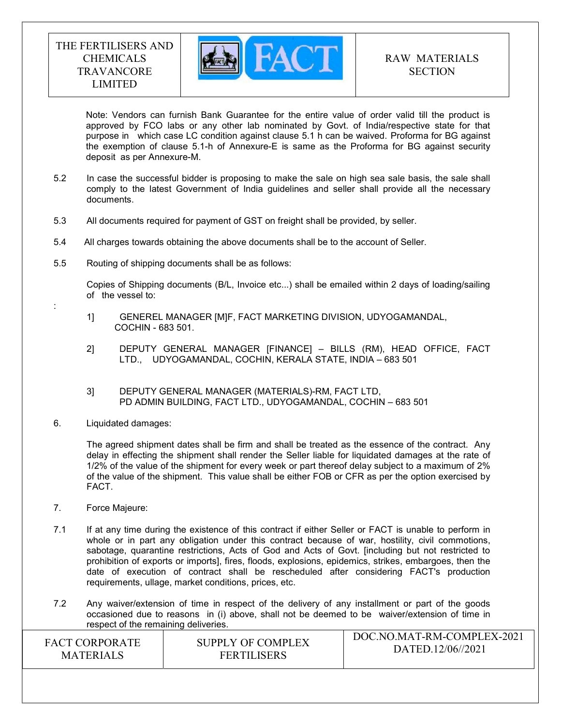

Note: Vendors can furnish Bank Guarantee for the entire value of order valid till the product is approved by FCO labs or any other lab nominated by Govt. of India/respective state for that purpose in which case LC condition against clause 5.1 h can be waived. Proforma for BG against the exemption of clause 5.1-h of Annexure-E is same as the Proforma for BG against security deposit as per Annexure-M.

- 5.2 In case the successful bidder is proposing to make the sale on high sea sale basis, the sale shall comply to the latest Government of India guidelines and seller shall provide all the necessary documents.
- 5.3 All documents required for payment of GST on freight shall be provided, by seller.
- 5.4 All charges towards obtaining the above documents shall be to the account of Seller.
- 5.5 Routing of shipping documents shall be as follows:

 Copies of Shipping documents (B/L, Invoice etc...) shall be emailed within 2 days of loading/sailing of the vessel to:

- 1] GENEREL MANAGER [M]F, FACT MARKETING DIVISION, UDYOGAMANDAL, COCHIN - 683 501.
- 2] DEPUTY GENERAL MANAGER [FINANCE] BILLS (RM), HEAD OFFICE, FACT LTD., UDYOGAMANDAL, COCHIN, KERALA STATE, INDIA – 683 501
- 3] DEPUTY GENERAL MANAGER (MATERIALS)-RM, FACT LTD, PD ADMIN BUILDING, FACT LTD., UDYOGAMANDAL, COCHIN – 683 501
- 6. Liquidated damages:

:

The agreed shipment dates shall be firm and shall be treated as the essence of the contract. Any delay in effecting the shipment shall render the Seller liable for liquidated damages at the rate of 1/2% of the value of the shipment for every week or part thereof delay subject to a maximum of 2% of the value of the shipment. This value shall be either FOB or CFR as per the option exercised by FACT.

- 7. Force Majeure:
- 7.1 If at any time during the existence of this contract if either Seller or FACT is unable to perform in whole or in part any obligation under this contract because of war, hostility, civil commotions, sabotage, quarantine restrictions, Acts of God and Acts of Govt. [including but not restricted to prohibition of exports or imports], fires, floods, explosions, epidemics, strikes, embargoes, then the date of execution of contract shall be rescheduled after considering FACT's production requirements, ullage, market conditions, prices, etc.
- 7.2 Any waiver/extension of time in respect of the delivery of any installment or part of the goods occasioned due to reasons in (i) above, shall not be deemed to be waiver/extension of time in respect of the remaining deliveries.

| <b>FACT CORPORATE</b> | SUPPLY OF COMPLEX  | DOC.NO.MAT-RM-COMPLEX-2021 |
|-----------------------|--------------------|----------------------------|
| <b>MATERIALS</b>      | <b>FERTILISERS</b> | DATED.12/06//2021          |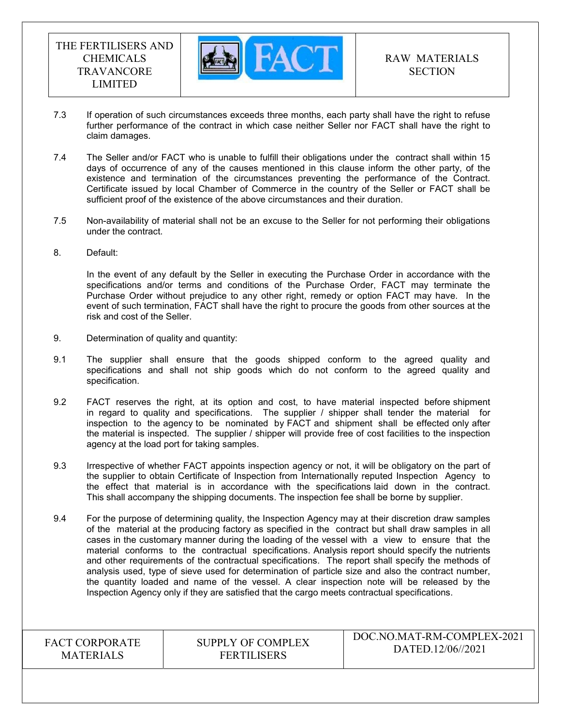

- 7.3 If operation of such circumstances exceeds three months, each party shall have the right to refuse further performance of the contract in which case neither Seller nor FACT shall have the right to claim damages.
- 7.4 The Seller and/or FACT who is unable to fulfill their obligations under the contract shall within 15 days of occurrence of any of the causes mentioned in this clause inform the other party, of the existence and termination of the circumstances preventing the performance of the Contract. Certificate issued by local Chamber of Commerce in the country of the Seller or FACT shall be sufficient proof of the existence of the above circumstances and their duration.
- 7.5 Non-availability of material shall not be an excuse to the Seller for not performing their obligations under the contract.
- 8. Default:

In the event of any default by the Seller in executing the Purchase Order in accordance with the specifications and/or terms and conditions of the Purchase Order, FACT may terminate the Purchase Order without prejudice to any other right, remedy or option FACT may have. In the event of such termination, FACT shall have the right to procure the goods from other sources at the risk and cost of the Seller.

- 9. Determination of quality and quantity:
- 9.1 The supplier shall ensure that the goods shipped conform to the agreed quality and specifications and shall not ship goods which do not conform to the agreed quality and specification.
- 9.2 FACT reserves the right, at its option and cost, to have material inspected before shipment in regard to quality and specifications. The supplier / shipper shall tender the material for inspection to the agency to be nominated by FACT and shipment shall be effected only after the material is inspected. The supplier / shipper will provide free of cost facilities to the inspection agency at the load port for taking samples.
- 9.3 Irrespective of whether FACT appoints inspection agency or not, it will be obligatory on the part of the supplier to obtain Certificate of Inspection from Internationally reputed Inspection Agency to the effect that material is in accordance with the specifications laid down in the contract. This shall accompany the shipping documents. The inspection fee shall be borne by supplier.
- 9.4 For the purpose of determining quality, the Inspection Agency may at their discretion draw samples of the material at the producing factory as specified in the contract but shall draw samples in all cases in the customary manner during the loading of the vessel with a view to ensure that the material conforms to the contractual specifications. Analysis report should specify the nutrients and other requirements of the contractual specifications. The report shall specify the methods of analysis used, type of sieve used for determination of particle size and also the contract number, the quantity loaded and name of the vessel. A clear inspection note will be released by the Inspection Agency only if they are satisfied that the cargo meets contractual specifications.

FACT CORPORATE MATERIALS

SUPPLY OF COMPLEX FERTILISERS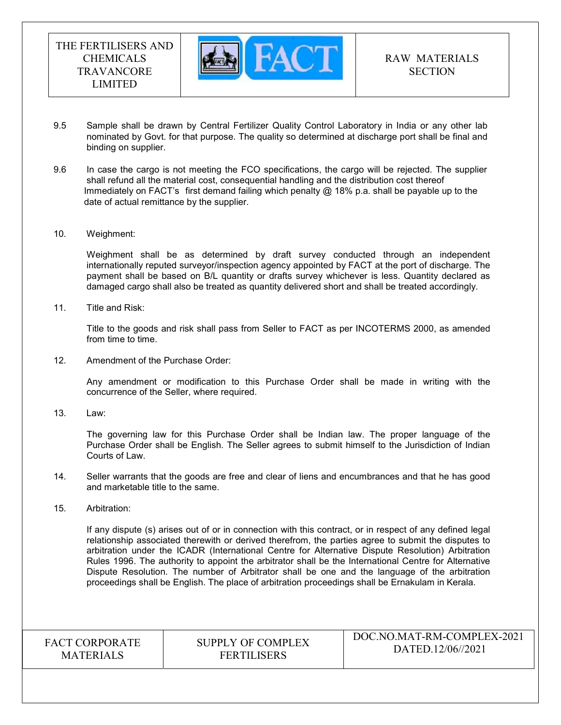

- 9.5 Sample shall be drawn by Central Fertilizer Quality Control Laboratory in India or any other lab nominated by Govt. for that purpose. The quality so determined at discharge port shall be final and binding on supplier.
- 9.6 In case the cargo is not meeting the FCO specifications, the cargo will be rejected. The supplier shall refund all the material cost, consequential handling and the distribution cost thereof Immediately on FACT's first demand failing which penalty  $@18\%$  p.a. shall be payable up to the date of actual remittance by the supplier.
- 10. Weighment:

 Weighment shall be as determined by draft survey conducted through an independent internationally reputed surveyor/inspection agency appointed by FACT at the port of discharge. The payment shall be based on B/L quantity or drafts survey whichever is less. Quantity declared as damaged cargo shall also be treated as quantity delivered short and shall be treated accordingly.

11. Title and Risk:

Title to the goods and risk shall pass from Seller to FACT as per INCOTERMS 2000, as amended from time to time.

12. Amendment of the Purchase Order:

Any amendment or modification to this Purchase Order shall be made in writing with the concurrence of the Seller, where required.

13. Law:

The governing law for this Purchase Order shall be Indian law. The proper language of the Purchase Order shall be English. The Seller agrees to submit himself to the Jurisdiction of Indian Courts of Law.

- 14. Seller warrants that the goods are free and clear of liens and encumbrances and that he has good and marketable title to the same.
- 15. Arbitration:

If any dispute (s) arises out of or in connection with this contract, or in respect of any defined legal relationship associated therewith or derived therefrom, the parties agree to submit the disputes to arbitration under the ICADR (International Centre for Alternative Dispute Resolution) Arbitration Rules 1996. The authority to appoint the arbitrator shall be the International Centre for Alternative Dispute Resolution. The number of Arbitrator shall be one and the language of the arbitration proceedings shall be English. The place of arbitration proceedings shall be Ernakulam in Kerala.

FACT CORPORATE **MATERIALS** 

SUPPLY OF COMPLEX FERTILISERS

DOC.NO.MAT-RM-COMPLEX-2021 DATED.12/06//2021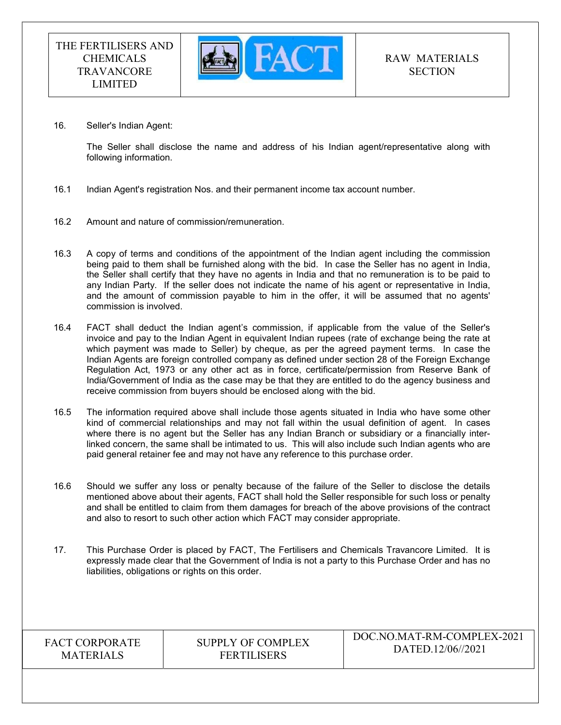

16. Seller's Indian Agent:

The Seller shall disclose the name and address of his Indian agent/representative along with following information.

- 16.1 Indian Agent's registration Nos. and their permanent income tax account number.
- 16.2 Amount and nature of commission/remuneration.
- 16.3 A copy of terms and conditions of the appointment of the Indian agent including the commission being paid to them shall be furnished along with the bid. In case the Seller has no agent in India, the Seller shall certify that they have no agents in India and that no remuneration is to be paid to any Indian Party. If the seller does not indicate the name of his agent or representative in India, and the amount of commission payable to him in the offer, it will be assumed that no agents' commission is involved.
- 16.4 FACT shall deduct the Indian agent's commission, if applicable from the value of the Seller's invoice and pay to the Indian Agent in equivalent Indian rupees (rate of exchange being the rate at which payment was made to Seller) by cheque, as per the agreed payment terms. In case the Indian Agents are foreign controlled company as defined under section 28 of the Foreign Exchange Regulation Act, 1973 or any other act as in force, certificate/permission from Reserve Bank of India/Government of India as the case may be that they are entitled to do the agency business and receive commission from buyers should be enclosed along with the bid.
- 16.5 The information required above shall include those agents situated in India who have some other kind of commercial relationships and may not fall within the usual definition of agent. In cases where there is no agent but the Seller has any Indian Branch or subsidiary or a financially interlinked concern, the same shall be intimated to us. This will also include such Indian agents who are paid general retainer fee and may not have any reference to this purchase order.
- 16.6 Should we suffer any loss or penalty because of the failure of the Seller to disclose the details mentioned above about their agents, FACT shall hold the Seller responsible for such loss or penalty and shall be entitled to claim from them damages for breach of the above provisions of the contract and also to resort to such other action which FACT may consider appropriate.
- 17. This Purchase Order is placed by FACT, The Fertilisers and Chemicals Travancore Limited. It is expressly made clear that the Government of India is not a party to this Purchase Order and has no liabilities, obligations or rights on this order.

| <b>FACT CORPORATE</b> |
|-----------------------|
| <b>MATERIALS</b>      |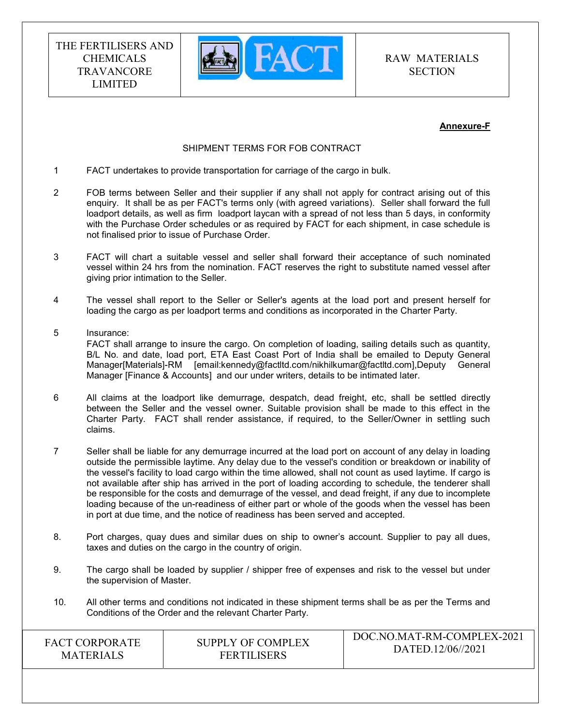

RAW MATERIALS **SECTION** 

#### Annexure-F

#### SHIPMENT TERMS FOR FOB CONTRACT

- 1 FACT undertakes to provide transportation for carriage of the cargo in bulk.
- 2 FOB terms between Seller and their supplier if any shall not apply for contract arising out of this enquiry. It shall be as per FACT's terms only (with agreed variations). Seller shall forward the full loadport details, as well as firm loadport laycan with a spread of not less than 5 days, in conformity with the Purchase Order schedules or as required by FACT for each shipment, in case schedule is not finalised prior to issue of Purchase Order.
- 3 FACT will chart a suitable vessel and seller shall forward their acceptance of such nominated vessel within 24 hrs from the nomination. FACT reserves the right to substitute named vessel after giving prior intimation to the Seller.
- 4 The vessel shall report to the Seller or Seller's agents at the load port and present herself for loading the cargo as per loadport terms and conditions as incorporated in the Charter Party.
- 5 Insurance: FACT shall arrange to insure the cargo. On completion of loading, sailing details such as quantity, B/L No. and date, load port, ETA East Coast Port of India shall be emailed to Deputy General Manager[Materials]-RM [email:kennedy@factltd.com/nikhilkumar@factltd.com],Deputy General Manager [Finance & Accounts] and our under writers, details to be intimated later.
- 6 All claims at the loadport like demurrage, despatch, dead freight, etc, shall be settled directly between the Seller and the vessel owner. Suitable provision shall be made to this effect in the Charter Party. FACT shall render assistance, if required, to the Seller/Owner in settling such claims.
- 7 Seller shall be liable for any demurrage incurred at the load port on account of any delay in loading outside the permissible laytime. Any delay due to the vessel's condition or breakdown or inability of the vessel's facility to load cargo within the time allowed, shall not count as used laytime. If cargo is not available after ship has arrived in the port of loading according to schedule, the tenderer shall be responsible for the costs and demurrage of the vessel, and dead freight, if any due to incomplete loading because of the un-readiness of either part or whole of the goods when the vessel has been in port at due time, and the notice of readiness has been served and accepted.
- 8. Port charges, quay dues and similar dues on ship to owner's account. Supplier to pay all dues, taxes and duties on the cargo in the country of origin.
- 9. The cargo shall be loaded by supplier / shipper free of expenses and risk to the vessel but under the supervision of Master.
- 10. All other terms and conditions not indicated in these shipment terms shall be as per the Terms and Conditions of the Order and the relevant Charter Party.

| <b>FACT CORPORATE</b> | SUPPLY OF COMPLEX  | DOC.NO.MAT-RM-COMPLEX-2021 |
|-----------------------|--------------------|----------------------------|
| <b>MATERIALS</b>      | <b>FERTILISERS</b> | DATED.12/06//2021          |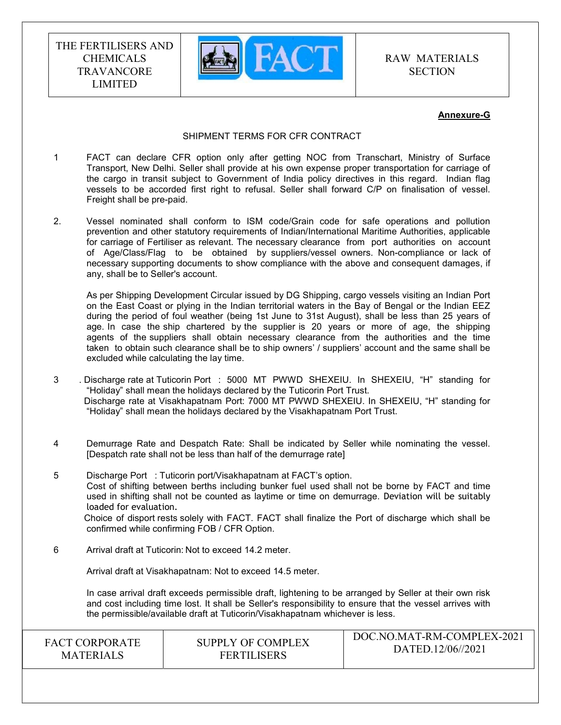

RAW MATERIALS **SECTION** 

#### Annexure-G

#### SHIPMENT TERMS FOR CFR CONTRACT

- 1 FACT can declare CFR option only after getting NOC from Transchart, Ministry of Surface Transport, New Delhi. Seller shall provide at his own expense proper transportation for carriage of the cargo in transit subject to Government of India policy directives in this regard. Indian flag vessels to be accorded first right to refusal. Seller shall forward C/P on finalisation of vessel. Freight shall be pre-paid.
- 2. Vessel nominated shall conform to ISM code/Grain code for safe operations and pollution prevention and other statutory requirements of Indian/International Maritime Authorities, applicable for carriage of Fertiliser as relevant. The necessary clearance from port authorities on account of Age/Class/Flag to be obtained by suppliers/vessel owners. Non-compliance or lack of necessary supporting documents to show compliance with the above and consequent damages, if any, shall be to Seller's account.

 As per Shipping Development Circular issued by DG Shipping, cargo vessels visiting an Indian Port on the East Coast or plying in the Indian territorial waters in the Bay of Bengal or the Indian EEZ during the period of foul weather (being 1st June to 31st August), shall be less than 25 years of age. In case the ship chartered by the supplier is 20 years or more of age, the shipping agents of the suppliers shall obtain necessary clearance from the authorities and the time taken to obtain such clearance shall be to ship owners' / suppliers' account and the same shall be excluded while calculating the lay time.

- 3 . Discharge rate at Tuticorin Port : 5000 MT PWWD SHEXEIU. In SHEXEIU, "H" standing for "Holiday" shall mean the holidays declared by the Tuticorin Port Trust. Discharge rate at Visakhapatnam Port: 7000 MT PWWD SHEXEIU. In SHEXEIU, "H" standing for "Holiday" shall mean the holidays declared by the Visakhapatnam Port Trust.
- 4 Demurrage Rate and Despatch Rate: Shall be indicated by Seller while nominating the vessel. [Despatch rate shall not be less than half of the demurrage rate]
- 5 Discharge Port : Tuticorin port/Visakhapatnam at FACT's option. Cost of shifting between berths including bunker fuel used shall not be borne by FACT and time used in shifting shall not be counted as laytime or time on demurrage. Deviation will be suitably loaded for evaluation. Choice of disport rests solely with FACT. FACT shall finalize the Port of discharge which shall be confirmed while confirming FOB / CFR Option.
- 6 Arrival draft at Tuticorin: Not to exceed 14.2 meter.

Arrival draft at Visakhapatnam: Not to exceed 14.5 meter.

 In case arrival draft exceeds permissible draft, lightening to be arranged by Seller at their own risk and cost including time lost. It shall be Seller's responsibility to ensure that the vessel arrives with the permissible/available draft at Tuticorin/Visakhapatnam whichever is less.

| <b>FACT CORPORATE</b> | <b>SUPPLY OF COMPLEX</b> | DOC.NO.MAT-RM-COMPLEX-2021 |
|-----------------------|--------------------------|----------------------------|
| <b>MATERIALS</b>      | <b>FERTILISERS</b>       | DATED.12/06//2021          |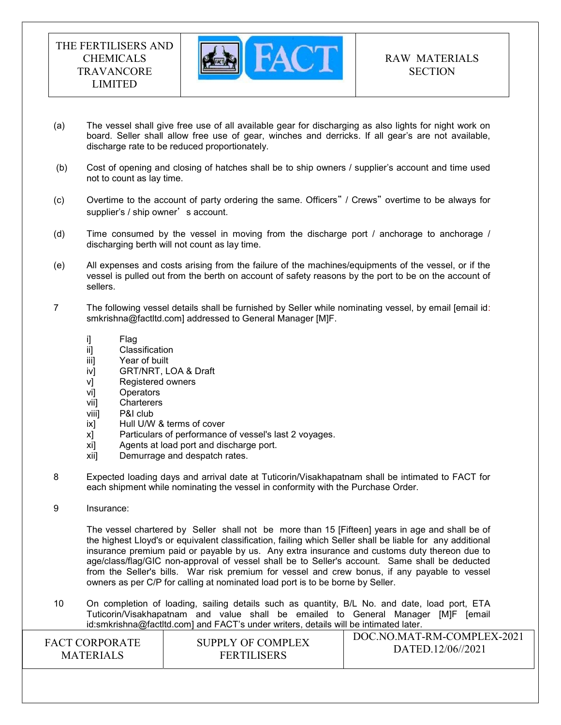

- (a) The vessel shall give free use of all available gear for discharging as also lights for night work on board. Seller shall allow free use of gear, winches and derricks. If all gear's are not available, discharge rate to be reduced proportionately.
- (b) Cost of opening and closing of hatches shall be to ship owners / supplier's account and time used not to count as lay time.
- (c) Overtime to the account of party ordering the same. Officers" / Crews" overtime to be always for supplier's / ship owner's account.
- (d) Time consumed by the vessel in moving from the discharge port / anchorage to anchorage / discharging berth will not count as lay time.
- (e) All expenses and costs arising from the failure of the machines/equipments of the vessel, or if the vessel is pulled out from the berth on account of safety reasons by the port to be on the account of sellers.
- 7 The following vessel details shall be furnished by Seller while nominating vessel, by email [email id: smkrishna@factltd.com] addressed to General Manager [M]F.
	- i] Flag
	- ii] Classification
	- iii] Year of built
	- iv] GRT/NRT, LOA & Draft
	- v] Registered owners
	- vi] Operators
	- vii] Charterers
	- viii] P&I club
	- ix] Hull U/W & terms of cover
	- x] Particulars of performance of vessel's last 2 voyages.
	- xi] Agents at load port and discharge port.
	- xii] Demurrage and despatch rates.
- 8 Expected loading days and arrival date at Tuticorin/Visakhapatnam shall be intimated to FACT for each shipment while nominating the vessel in conformity with the Purchase Order.
- 9 Insurance:

 The vessel chartered by Seller shall not be more than 15 [Fifteen] years in age and shall be of the highest Lloyd's or equivalent classification, failing which Seller shall be liable for any additional insurance premium paid or payable by us. Any extra insurance and customs duty thereon due to age/class/flag/GIC non-approval of vessel shall be to Seller's account. Same shall be deducted from the Seller's bills. War risk premium for vessel and crew bonus, if any payable to vessel owners as per C/P for calling at nominated load port is to be borne by Seller.

DOC.NO.MAT-RM-COMPLEX-2021 10 On completion of loading, sailing details such as quantity, B/L No. and date, load port, ETA Tuticorin/Visakhapatnam and value shall be emailed to General Manager [M]F [email id:smkrishna@factltd.com] and FACT's under writers, details will be intimated later.

| <b>FACT CORPORATE</b> | SUPPLY OF COMPLEX  | DOC.NO.MAT-RM-COMPLEX-2021 |
|-----------------------|--------------------|----------------------------|
| <b>MATERIALS</b>      | <b>FERTILISERS</b> | DATED.12/06//2021          |
|                       |                    |                            |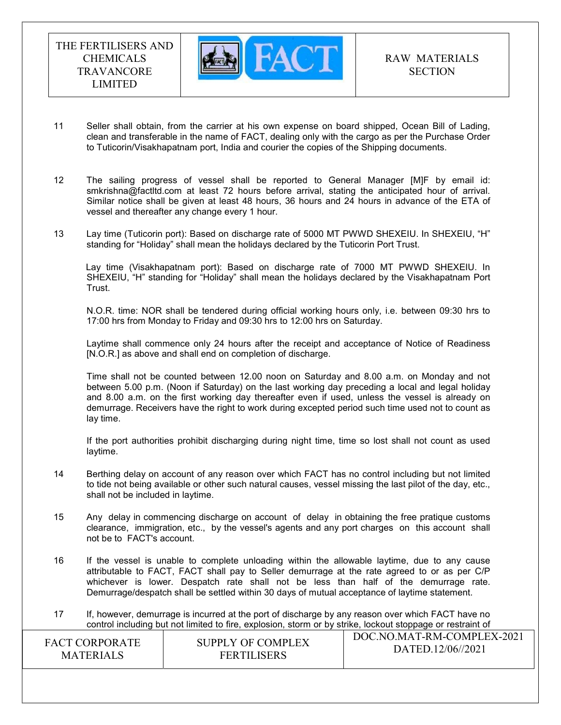

- 11 Seller shall obtain, from the carrier at his own expense on board shipped, Ocean Bill of Lading, clean and transferable in the name of FACT, dealing only with the cargo as per the Purchase Order to Tuticorin/Visakhapatnam port, India and courier the copies of the Shipping documents.
- 12 The sailing progress of vessel shall be reported to General Manager [M]F by email id: smkrishna@factltd.com at least 72 hours before arrival, stating the anticipated hour of arrival. Similar notice shall be given at least 48 hours, 36 hours and 24 hours in advance of the ETA of vessel and thereafter any change every 1 hour.
- 13 Lay time (Tuticorin port): Based on discharge rate of 5000 MT PWWD SHEXEIU. In SHEXEIU, "H" standing for "Holiday" shall mean the holidays declared by the Tuticorin Port Trust.

Lay time (Visakhapatnam port): Based on discharge rate of 7000 MT PWWD SHEXEIU. In SHEXEIU, "H" standing for "Holiday" shall mean the holidays declared by the Visakhapatnam Port Trust.

 N.O.R. time: NOR shall be tendered during official working hours only, i.e. between 09:30 hrs to 17:00 hrs from Monday to Friday and 09:30 hrs to 12:00 hrs on Saturday.

 Laytime shall commence only 24 hours after the receipt and acceptance of Notice of Readiness [N.O.R.] as above and shall end on completion of discharge.

 Time shall not be counted between 12.00 noon on Saturday and 8.00 a.m. on Monday and not between 5.00 p.m. (Noon if Saturday) on the last working day preceding a local and legal holiday and 8.00 a.m. on the first working day thereafter even if used, unless the vessel is already on demurrage. Receivers have the right to work during excepted period such time used not to count as lay time.

 If the port authorities prohibit discharging during night time, time so lost shall not count as used laytime.

- 14 Berthing delay on account of any reason over which FACT has no control including but not limited to tide not being available or other such natural causes, vessel missing the last pilot of the day, etc., shall not be included in laytime.
- 15 Any delay in commencing discharge on account of delay in obtaining the free pratique customs clearance, immigration, etc., by the vessel's agents and any port charges on this account shall not be to FACT's account.
- 16 If the vessel is unable to complete unloading within the allowable laytime, due to any cause attributable to FACT, FACT shall pay to Seller demurrage at the rate agreed to or as per C/P whichever is lower. Despatch rate shall not be less than half of the demurrage rate. Demurrage/despatch shall be settled within 30 days of mutual acceptance of laytime statement.
- 17 If, however, demurrage is incurred at the port of discharge by any reason over which FACT have no control including but not limited to fire, explosion, storm or by strike, lockout stoppage or restraint of

| <b>FACT CORPORATE</b> | SUPPLY OF COMPLEX  | DOC.NO.MAT-RM-COMPLEX-2021 |
|-----------------------|--------------------|----------------------------|
| <b>MATERIALS</b>      | <b>FERTILISERS</b> | DATED.12/06//2021          |
|                       |                    |                            |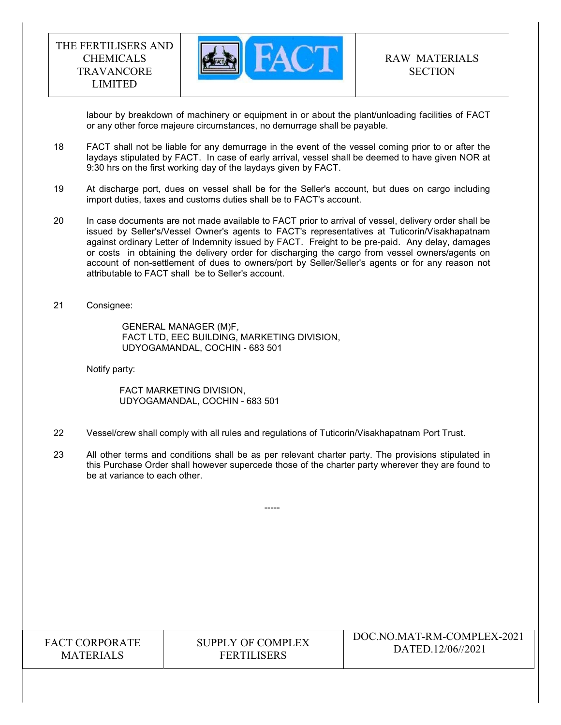

labour by breakdown of machinery or equipment in or about the plant/unloading facilities of FACT or any other force majeure circumstances, no demurrage shall be payable.

- 18 FACT shall not be liable for any demurrage in the event of the vessel coming prior to or after the laydays stipulated by FACT. In case of early arrival, vessel shall be deemed to have given NOR at 9:30 hrs on the first working day of the laydays given by FACT.
- 19 At discharge port, dues on vessel shall be for the Seller's account, but dues on cargo including import duties, taxes and customs duties shall be to FACT's account.
- 20 In case documents are not made available to FACT prior to arrival of vessel, delivery order shall be issued by Seller's/Vessel Owner's agents to FACT's representatives at Tuticorin/Visakhapatnam against ordinary Letter of Indemnity issued by FACT. Freight to be pre-paid. Any delay, damages or costs in obtaining the delivery order for discharging the cargo from vessel owners/agents on account of non-settlement of dues to owners/port by Seller/Seller's agents or for any reason not attributable to FACT shall be to Seller's account.
- 21 Consignee:

 GENERAL MANAGER (M)F, FACT LTD, EEC BUILDING, MARKETING DIVISION, UDYOGAMANDAL, COCHIN - 683 501

Notify party:

 FACT MARKETING DIVISION, UDYOGAMANDAL, COCHIN - 683 501

- 22 Vessel/crew shall comply with all rules and regulations of Tuticorin/Visakhapatnam Port Trust.
- 23 All other terms and conditions shall be as per relevant charter party. The provisions stipulated in this Purchase Order shall however supercede those of the charter party wherever they are found to be at variance to each other.

-----

FACT CORPORATE MATERIALS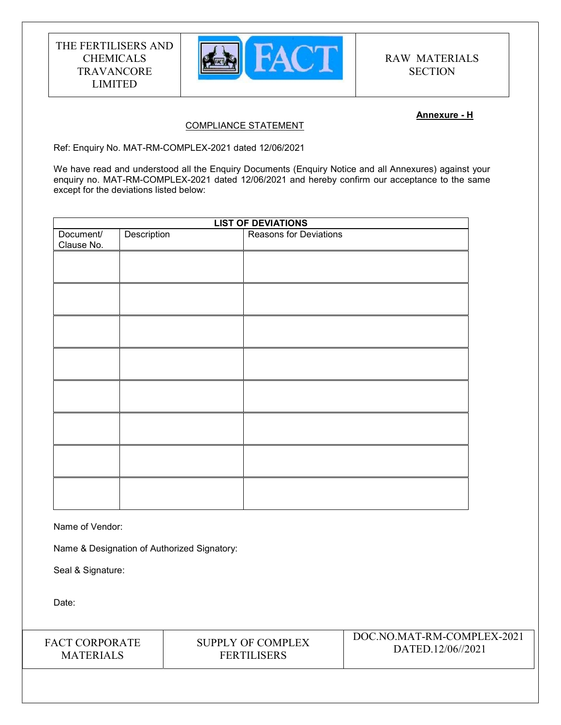

### Annexure - H

### COMPLIANCE STATEMENT

Ref: Enquiry No. MAT-RM-COMPLEX-2021 dated 12/06/2021

We have read and understood all the Enquiry Documents (Enquiry Notice and all Annexures) against your enquiry no. MAT-RM-COMPLEX-2021 dated 12/06/2021 and hereby confirm our acceptance to the same except for the deviations listed below:

| <b>LIST OF DEVIATIONS</b> |                                              |  |
|---------------------------|----------------------------------------------|--|
| Document/<br>Clause No.   | Description<br><b>Reasons for Deviations</b> |  |
|                           |                                              |  |
|                           |                                              |  |
|                           |                                              |  |
|                           |                                              |  |
|                           |                                              |  |
|                           |                                              |  |
|                           |                                              |  |
|                           |                                              |  |
|                           |                                              |  |

Name of Vendor:

Name & Designation of Authorized Signatory:

Seal & Signature:

Date:

FACT CORPORATE **MATERIALS** 

SUPPLY OF COMPLEX FERTILISERS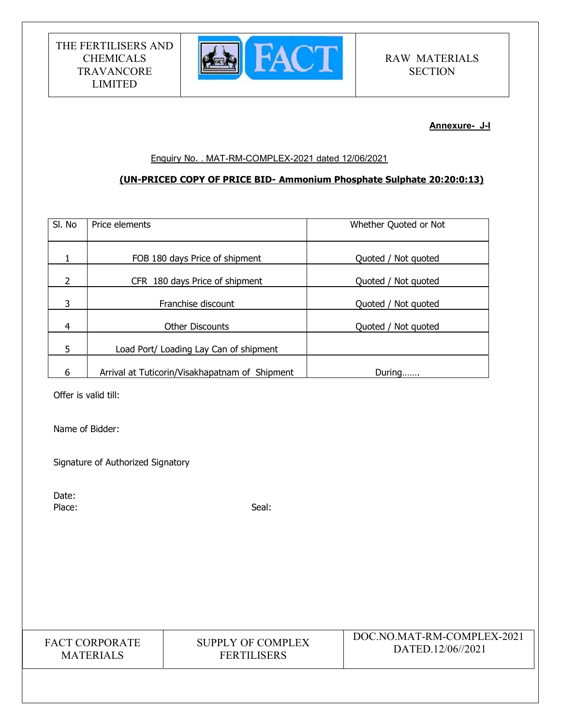

Annexure- J-I

### Enquiry No. . MAT-RM-COMPLEX-2021 dated 12/06/2021

# (UN-PRICED COPY OF PRICE BID- Ammonium Phosphate Sulphate 20:20:0:13)

| SI. No         | Price elements                                 | Whether Quoted or Not |
|----------------|------------------------------------------------|-----------------------|
|                | FOB 180 days Price of shipment                 | Quoted / Not quoted   |
| $\overline{2}$ | CFR 180 days Price of shipment                 | Quoted / Not quoted   |
| 3              | Franchise discount                             | Quoted / Not quoted   |
| $\overline{4}$ | <b>Other Discounts</b>                         | Quoted / Not quoted   |
| 5              | Load Port/ Loading Lay Can of shipment         |                       |
| 6              | Arrival at Tuticorin/Visakhapatnam of Shipment | During                |

Offer is valid till:

Name of Bidder:

Signature of Authorized Signatory

Date: Place: Seal: Seal: Seal: Seal: Seal: Seal: Seal: Seal: Seal: Seal: Seal: Seal: Seal: Seal: Seal: Seal: Seal: Seal: Seal: Seal: Seal: Seal: Seal: Seal: Seal: Seal: Seal: Seal: Seal: Seal: Seal: Seal: Seal: Seal: Seal: Seal:

| <b>FACT CORPORATE</b> |
|-----------------------|
| <b>MATERIALS</b>      |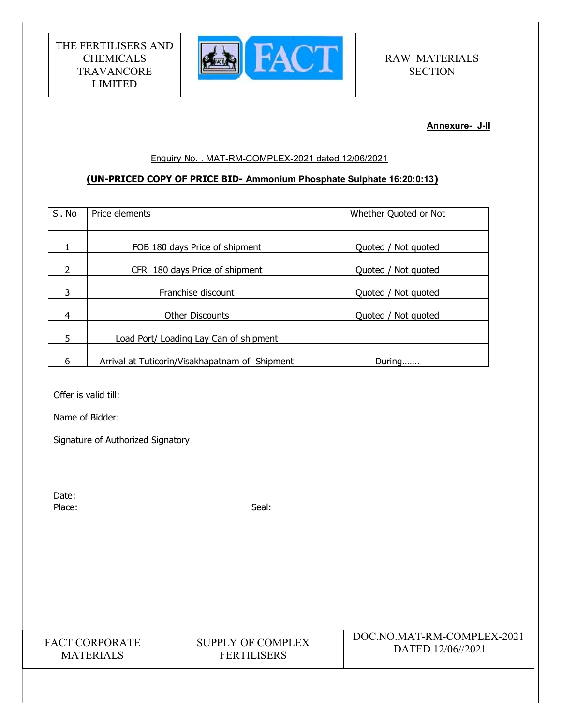

Annexure- J-II

### Enquiry No. . MAT-RM-COMPLEX-2021 dated 12/06/2021

# (UN-PRICED COPY OF PRICE BID- Ammonium Phosphate Sulphate 16:20:0:13)

| SI. No         | Price elements                                 | Whether Quoted or Not |
|----------------|------------------------------------------------|-----------------------|
| 1              | FOB 180 days Price of shipment                 | Quoted / Not quoted   |
| 2              | CFR 180 days Price of shipment                 | Quoted / Not quoted   |
| 3              | Franchise discount                             | Quoted / Not quoted   |
| $\overline{4}$ | <b>Other Discounts</b>                         | Quoted / Not quoted   |
| 5              | Load Port/ Loading Lay Can of shipment         |                       |
| 6              | Arrival at Tuticorin/Visakhapatnam of Shipment | During                |

Offer is valid till:

Name of Bidder:

Signature of Authorized Signatory

Date: Place: Seal: Seal: Seal: Seal: Seal: Seal: Seal: Seal: Seal: Seal: Seal: Seal: Seal: Seal: Seal: Seal: Seal: Seal: Seal: Seal: Seal: Seal: Seal: Seal: Seal: Seal: Seal: Seal: Seal: Seal: Seal: Seal: Seal: Seal: Seal: Seal:

FACT CORPORATE **MATERIALS** 

# SUPPLY OF COMPLEX FERTILISERS

# DOC.NO.MAT-RM-COMPLEX-2021 DATED.12/06//2021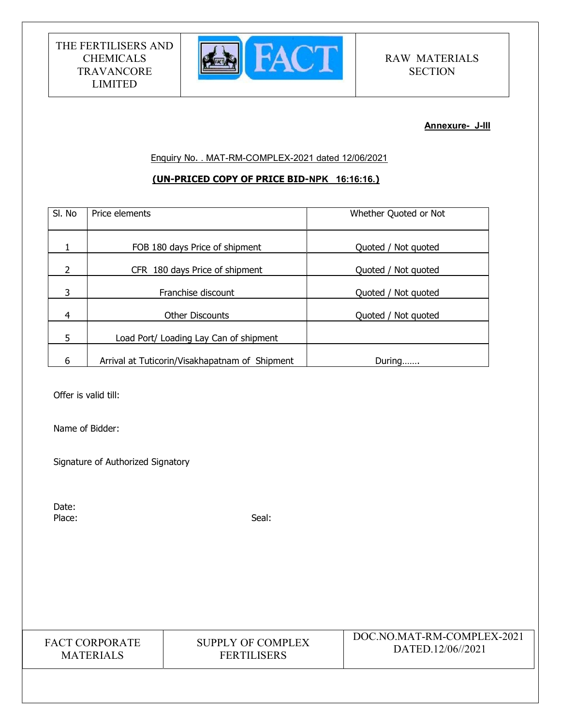

### Annexure- J-III

Enquiry No. . MAT-RM-COMPLEX-2021 dated 12/06/2021

# (UN-PRICED COPY OF PRICE BID-NPK 16:16:16.)

| SI. No | Price elements                                 | Whether Quoted or Not  |
|--------|------------------------------------------------|------------------------|
|        |                                                | Quoted / Not quoted    |
|        | FOB 180 days Price of shipment                 |                        |
| 2      | CFR 180 days Price of shipment                 | Quoted / Not quoted    |
| 3      | Franchise discount                             | Quoted / Not quoted    |
| 4      | <b>Other Discounts</b>                         | Not quoted<br>Quoted / |
| 5      | Load Port/ Loading Lay Can of shipment         |                        |
| 6      | Arrival at Tuticorin/Visakhapatnam of Shipment | During                 |

Offer is valid till:

Name of Bidder:

Signature of Authorized Signatory

Date: Place: Seal: Seal: Seal: Seal: Seal: Seal: Seal: Seal: Seal: Seal: Seal: Seal: Seal: Seal: Seal: Seal: Seal: Seal: Seal: Seal: Seal: Seal: Seal: Seal: Seal: Seal: Seal: Seal: Seal: Seal: Seal: Seal: Seal: Seal: Seal: Seal:

FACT CORPORATE **MATERIALS** 

# SUPPLY OF COMPLEX FERTILISERS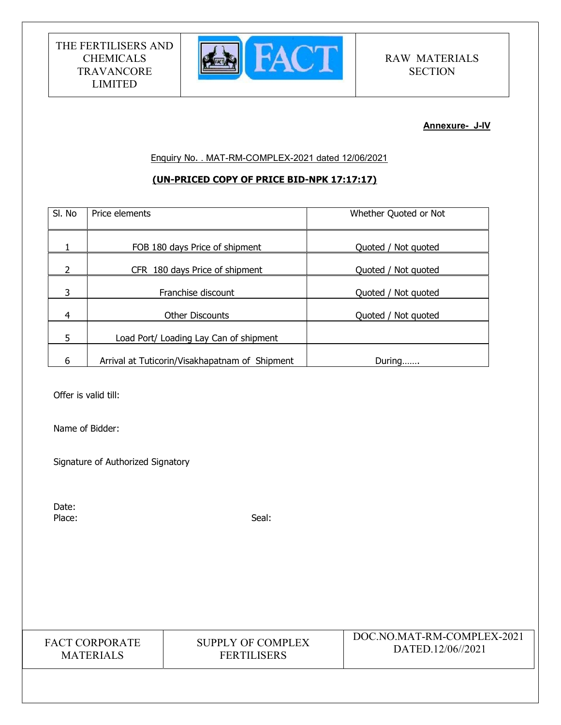

### Annexure- J-IV

Enquiry No. . MAT-RM-COMPLEX-2021 dated 12/06/2021

# (UN-PRICED COPY OF PRICE BID-NPK 17:17:17)

| SI. No         | Price elements                                 | Whether Quoted or Not |
|----------------|------------------------------------------------|-----------------------|
|                |                                                |                       |
|                | FOB 180 days Price of shipment                 | Quoted / Not quoted   |
| $\overline{2}$ | CFR 180 days Price of shipment                 | Quoted / Not quoted   |
| 3              | Franchise discount                             | Quoted / Not quoted   |
| 4              | <b>Other Discounts</b>                         | Quoted / Not quoted   |
| 5              | Load Port/ Loading Lay Can of shipment         |                       |
| 6              | Arrival at Tuticorin/Visakhapatnam of Shipment | During                |

Offer is valid till:

Name of Bidder:

Signature of Authorized Signatory

Date: Place: Seal: Seal: Seal: Seal: Seal: Seal: Seal: Seal: Seal: Seal: Seal: Seal: Seal: Seal: Seal: Seal: Seal: Seal: Seal: Seal: Seal: Seal: Seal: Seal: Seal: Seal: Seal: Seal: Seal: Seal: Seal: Seal: Seal: Seal: Seal: Seal:

FACT CORPORATE **MATERIALS** 

# SUPPLY OF COMPLEX FERTILISERS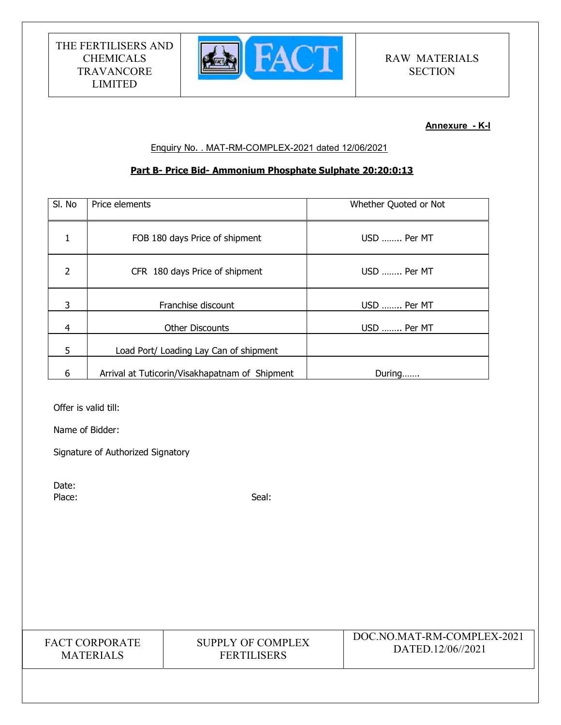

# Annexure - K-I

### Enquiry No. . MAT-RM-COMPLEX-2021 dated 12/06/2021

### Part B- Price Bid- Ammonium Phosphate Sulphate 20:20:0:13

| SI. No         | Price elements                                 | Whether Quoted or Not |
|----------------|------------------------------------------------|-----------------------|
| 1              | FOB 180 days Price of shipment                 | USD  Per MT           |
| $\overline{2}$ | CFR 180 days Price of shipment                 | USD  Per MT           |
| 3              | Franchise discount                             | USD  Per MT           |
| $\overline{4}$ | <b>Other Discounts</b>                         | USD  Per MT           |
| 5              | Load Port/ Loading Lay Can of shipment         |                       |
| 6              | Arrival at Tuticorin/Visakhapatnam of Shipment | During                |

Offer is valid till:

Name of Bidder:

Signature of Authorized Signatory

Date: Place: Seal: Seal: Seal: Seal: Seal: Seal: Seal: Seal: Seal: Seal: Seal: Seal: Seal: Seal: Seal: Seal: Seal: Seal: Seal: Seal: Seal: Seal: Seal: Seal: Seal: Seal: Seal: Seal: Seal: Seal: Seal: Seal: Seal: Seal: Seal: Seal:

| <b>FACT CORPORATE</b> |
|-----------------------|
| <b>MATERIALS</b>      |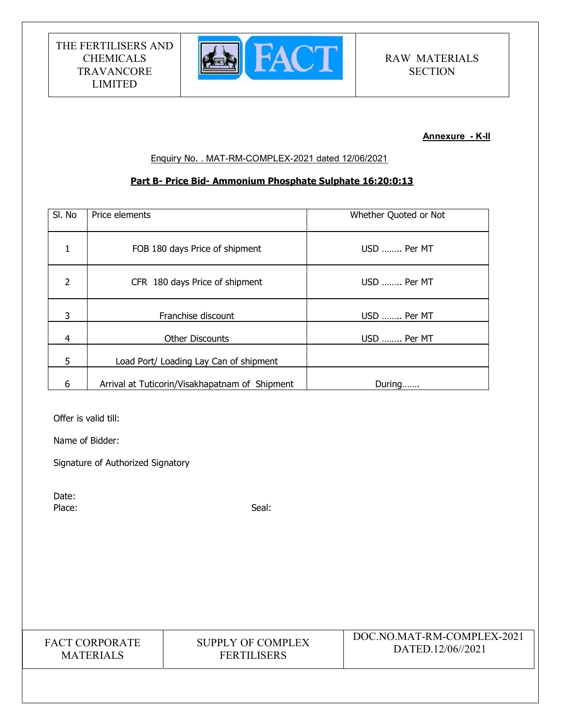

# Annexure - K-II

### Enquiry No. . MAT-RM-COMPLEX-2021 dated 12/06/2021

### Part B- Price Bid- Ammonium Phosphate Sulphate 16:20:0:13

| SI. No         | Price elements                                 | Whether Quoted or Not |
|----------------|------------------------------------------------|-----------------------|
| 1              | FOB 180 days Price of shipment                 | USD  Per MT           |
| $\overline{2}$ | CFR 180 days Price of shipment                 | USD  Per MT           |
| 3              | Franchise discount                             | USD  Per MT           |
| $\overline{4}$ | <b>Other Discounts</b>                         | USD  Per MT           |
| 5              | Load Port/ Loading Lay Can of shipment         |                       |
| 6              | Arrival at Tuticorin/Visakhapatnam of Shipment | During                |

Offer is valid till:

Name of Bidder:

Signature of Authorized Signatory

Date: Place: Seal: Seal: Seal: Seal: Seal: Seal: Seal: Seal: Seal: Seal: Seal: Seal: Seal: Seal: Seal: Seal: Seal: Seal: Seal: Seal: Seal: Seal: Seal: Seal: Seal: Seal: Seal: Seal: Seal: Seal: Seal: Seal: Seal: Seal: Seal: Seal:

| <b>FACT CORPORATE</b> |
|-----------------------|
| <b>MATERIALS</b>      |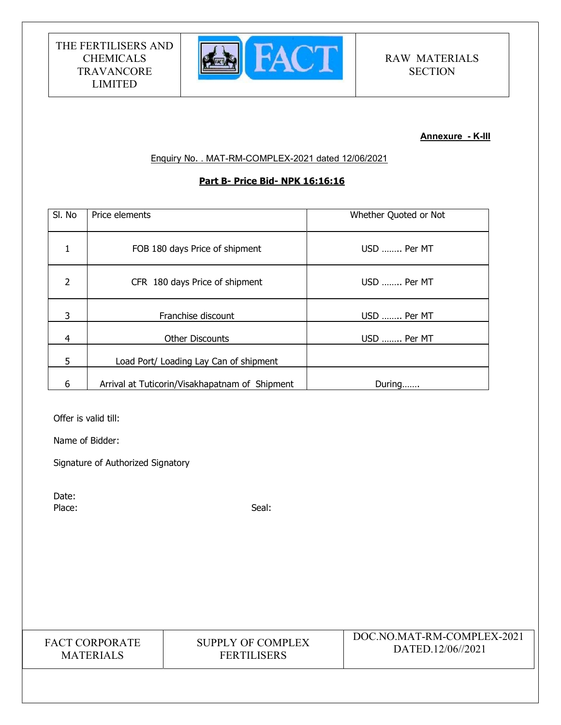

# Annexure - K-III

Enquiry No. . MAT-RM-COMPLEX-2021 dated 12/06/2021

# Part B- Price Bid- NPK 16:16:16

| SI. No         | Price elements                                 | Whether Quoted or Not |
|----------------|------------------------------------------------|-----------------------|
| 1              | FOB 180 days Price of shipment                 | USD  Per MT           |
| $\overline{2}$ | CFR 180 days Price of shipment                 | USD  Per MT           |
| 3              | Franchise discount                             | USD  Per MT           |
| $\overline{4}$ | <b>Other Discounts</b>                         | USD  Per MT           |
| 5              | Load Port/ Loading Lay Can of shipment         |                       |
| 6              | Arrival at Tuticorin/Visakhapatnam of Shipment | During                |

Offer is valid till:

Name of Bidder:

Signature of Authorized Signatory

Date:<br>Place: Place: Seal: Seal: Seal: Seal: Seal: Seal: Seal: Seal: Seal: Seal: Seal: Seal: Seal: Seal: Seal: Seal: Seal: Seal: Seal: Seal: Seal: Seal: Seal: Seal: Seal: Seal: Seal: Seal: Seal: Seal: Seal: Seal: Seal: Seal: Seal: Seal:

| <b>FACT CORPORATE</b> |
|-----------------------|
| <b>MATERIALS</b>      |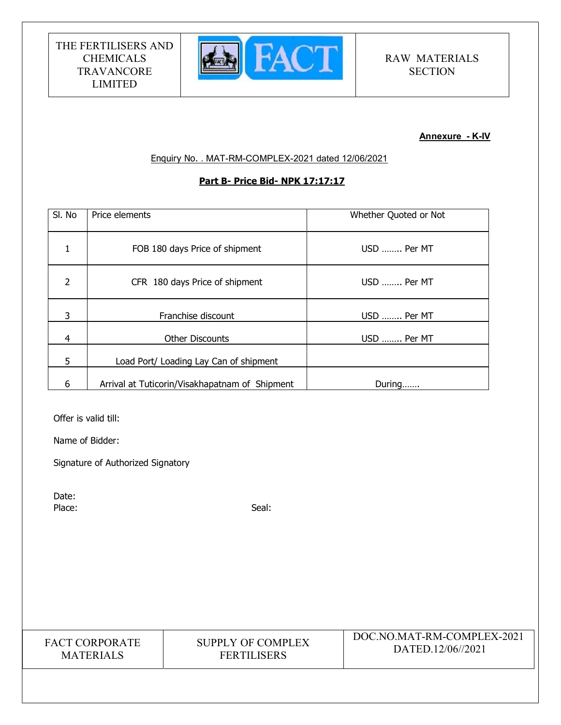

# Annexure - K-IV

Enquiry No. . MAT-RM-COMPLEX-2021 dated 12/06/2021

# Part B- Price Bid- NPK 17:17:17

| SI. No         | Price elements                                 | Whether Quoted or Not |
|----------------|------------------------------------------------|-----------------------|
| 1              | FOB 180 days Price of shipment                 | USD  Per MT           |
| $\overline{2}$ | CFR 180 days Price of shipment                 | USD  Per MT           |
| 3              | Franchise discount                             | USD  Per MT           |
| $\overline{4}$ | <b>Other Discounts</b>                         | USD  Per MT           |
| 5              | Load Port/ Loading Lay Can of shipment         |                       |
| 6              | Arrival at Tuticorin/Visakhapatnam of Shipment | During                |

Offer is valid till:

Name of Bidder:

Signature of Authorized Signatory

Date:<br>Place: Place: Seal: Seal: Seal: Seal: Seal: Seal: Seal: Seal: Seal: Seal: Seal: Seal: Seal: Seal: Seal: Seal: Seal: Seal: Seal: Seal: Seal: Seal: Seal: Seal: Seal: Seal: Seal: Seal: Seal: Seal: Seal: Seal: Seal: Seal: Seal: Seal:

| <b>FACT CORPORATE</b> |  |  |
|-----------------------|--|--|
| <b>MATERIALS</b>      |  |  |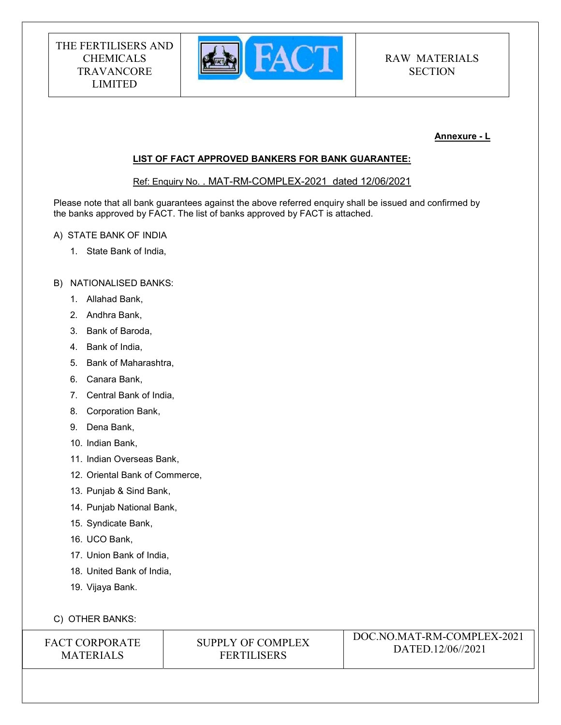

# Annexure - L

### LIST OF FACT APPROVED BANKERS FOR BANK GUARANTEE:

Ref: Enquiry No. . MAT-RM-COMPLEX-2021 dated 12/06/2021

Please note that all bank guarantees against the above referred enquiry shall be issued and confirmed by the banks approved by FACT. The list of banks approved by FACT is attached.

- A) STATE BANK OF INDIA
	- 1. State Bank of India,

### B) NATIONALISED BANKS:

- 1. Allahad Bank,
- 2. Andhra Bank,
- 3. Bank of Baroda,
- 4. Bank of India,
- 5. Bank of Maharashtra,
- 6. Canara Bank,
- 7. Central Bank of India,
- 8. Corporation Bank,
- 9. Dena Bank,
- 10. Indian Bank,
- 11. Indian Overseas Bank,
- 12. Oriental Bank of Commerce,
- 13. Punjab & Sind Bank,
- 14. Punjab National Bank,
- 15. Syndicate Bank,
- 16. UCO Bank,
- 17. Union Bank of India,
- 18. United Bank of India,
- 19. Vijaya Bank.

# C) OTHER BANKS:

| <b>FACT CORPORATE</b> |  |  |
|-----------------------|--|--|
| <b>MATERIALS</b>      |  |  |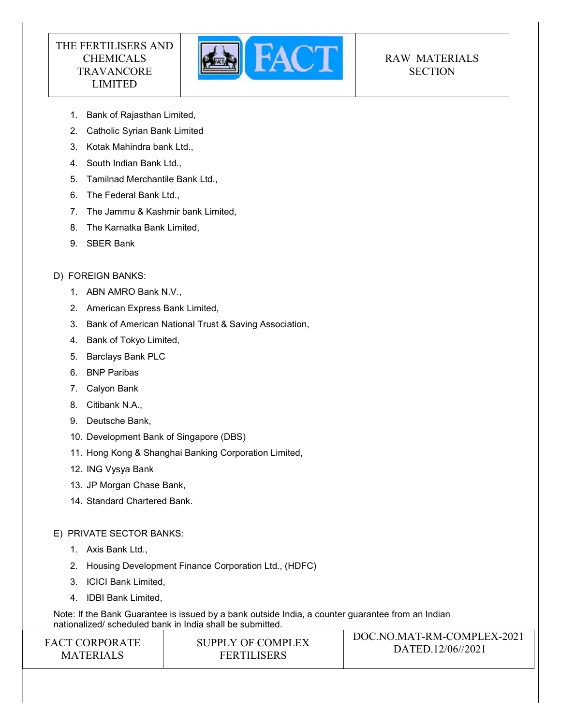

# RAW MATERIALS **SECTION**

- 1. Bank of Rajasthan Limited,
- 2. Catholic Syrian Bank Limited
- 3. Kotak Mahindra bank Ltd.,
- 4. South Indian Bank Ltd.,
- 5. Tamilnad Merchantile Bank Ltd.,
- 6. The Federal Bank Ltd.,
- 7. The Jammu & Kashmir bank Limited,
- 8. The Karnatka Bank Limited,
- 9. SBER Bank

# D) FOREIGN BANKS:

- 1. ABN AMRO Bank N.V.,
- 2. American Express Bank Limited,
- 3. Bank of American National Trust & Saving Association,
- 4. Bank of Tokyo Limited,
- 5. Barclays Bank PLC
- 6. BNP Paribas
- 7. Calyon Bank
- 8. Citibank N.A.,
- 9. Deutsche Bank,
- 10. Development Bank of Singapore (DBS)
- 11. Hong Kong & Shanghai Banking Corporation Limited,
- 12. ING Vysya Bank
- 13. JP Morgan Chase Bank,
- 14. Standard Chartered Bank.

# E) PRIVATE SECTOR BANKS:

- 1. Axis Bank Ltd.,
- 2. Housing Development Finance Corporation Ltd., (HDFC)
- 3. ICICI Bank Limited,
- 4. IDBI Bank Limited,

DOC.NO.MAT-RM-COMPLEX-2021 Note: If the Bank Guarantee is issued by a bank outside India, a counter guarantee from an Indian nationalized/ scheduled bank in India shall be submitted.

| <b>FACT CORPORATE</b> | SUPPLY OF COMPLEX  | DOC.NO.MAT-RM-COMPLEX-2021 |
|-----------------------|--------------------|----------------------------|
|                       |                    | DATED.12/06//2021          |
| <b>MATERIALS</b>      | <b>FERTILISERS</b> |                            |
|                       |                    |                            |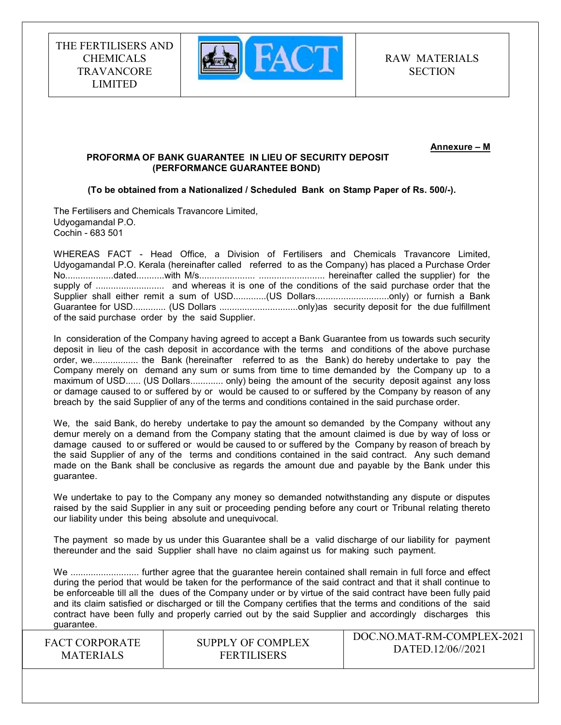

RAW MATERIALS **SECTION** 

Annexure – M

### PROFORMA OF BANK GUARANTEE IN LIEU OF SECURITY DEPOSIT (PERFORMANCE GUARANTEE BOND)

### (To be obtained from a Nationalized / Scheduled Bank on Stamp Paper of Rs. 500/-).

The Fertilisers and Chemicals Travancore Limited, Udyogamandal P.O. Cochin - 683 501

WHEREAS FACT - Head Office, a Division of Fertilisers and Chemicals Travancore Limited, Udyogamandal P.O. Kerala (hereinafter called referred to as the Company) has placed a Purchase Order No...................dated...........with M/s...................... .......................... hereinafter called the supplier) for the supply of ........................... and whereas it is one of the conditions of the said purchase order that the Supplier shall either remit a sum of USD.............(US Dollars...............................only) or furnish a Bank Guarantee for USD............. (US Dollars ...............................only)as security deposit for the due fulfillment of the said purchase order by the said Supplier.

In consideration of the Company having agreed to accept a Bank Guarantee from us towards such security deposit in lieu of the cash deposit in accordance with the terms and conditions of the above purchase order, we.................. the Bank (hereinafter referred to as the Bank) do hereby undertake to pay the Company merely on demand any sum or sums from time to time demanded by the Company up to a maximum of USD...... (US Dollars............. only) being the amount of the security deposit against any loss or damage caused to or suffered by or would be caused to or suffered by the Company by reason of any breach by the said Supplier of any of the terms and conditions contained in the said purchase order.

We, the said Bank, do hereby undertake to pay the amount so demanded by the Company without any demur merely on a demand from the Company stating that the amount claimed is due by way of loss or damage caused to or suffered or would be caused to or suffered by the Company by reason of breach by the said Supplier of any of the terms and conditions contained in the said contract. Any such demand made on the Bank shall be conclusive as regards the amount due and payable by the Bank under this guarantee.

We undertake to pay to the Company any money so demanded notwithstanding any dispute or disputes raised by the said Supplier in any suit or proceeding pending before any court or Tribunal relating thereto our liability under this being absolute and unequivocal.

The payment so made by us under this Guarantee shall be a valid discharge of our liability for payment thereunder and the said Supplier shall have no claim against us for making such payment.

We ........................... further agree that the guarantee herein contained shall remain in full force and effect during the period that would be taken for the performance of the said contract and that it shall continue to be enforceable till all the dues of the Company under or by virtue of the said contract have been fully paid and its claim satisfied or discharged or till the Company certifies that the terms and conditions of the said contract have been fully and properly carried out by the said Supplier and accordingly discharges this guarantee.

FACT CORPORATE **MATERIALS** 

SUPPLY OF COMPLEX FERTILISERS